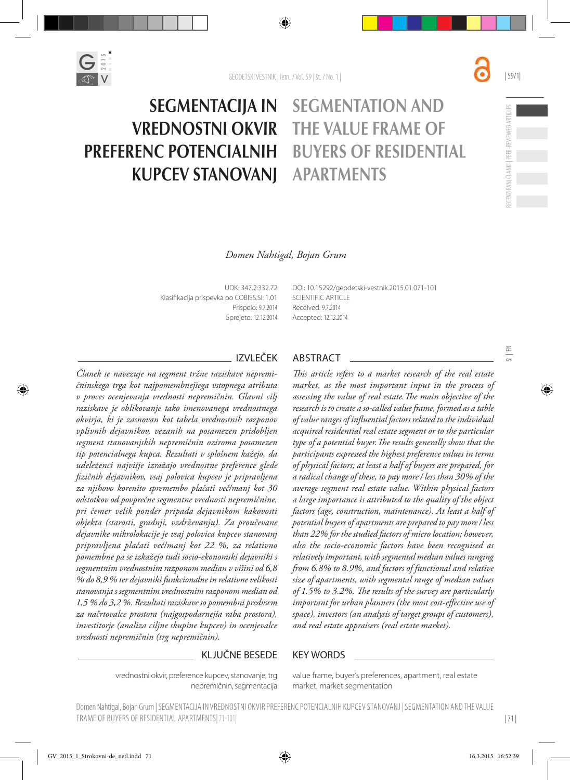

#### SEGMENTACIJA IN VREDNOSTNI OKVIR PREFERENC POTENCIALNIH KUPCEV STANOVANJ SEGMENTATION AND THE VALUE FRAME OF BUYERS OF RESIDENTIAL APARTMENTS

# *Domen Nahtigal, Bojan Grum*

UDK: 347.2:332.72 Klasifikacija prispevka po COBISS.SI: 1.01 Prispelo: 9.7.2014 Sprejeto: 12.12.2014 [DOI:](http://dx.doi.org/10.15292/geodetski-vestnik.2014.02.314-326) [10.15292/geodetski-vestnik.2015.01.071-101](http://dx.doi.org/10.15292/geodetski-vestnik.2015.01.071-101) SCIENTIFIC ARTICLE Received: 9.7.2014 Accepted: 12.12.2014

*Članek se navezuje na segment tržne raziskave nepremičninskega trga kot najpomembnejšega vstopnega atributa v proces ocenjevanja vrednosti nepremičnin. Glavni cilj raziskave je oblikovanje tako imenovanega vrednostnega okvirja, ki je zasnovan kot tabela vrednostnih razponov vplivnih dejavnikov, vezanih na posamezen pridobljen segment stanovanjskih nepremičnin oziroma posamezen tip potencialnega kupca. Rezultati v splošnem kažejo, da udeleženci najvišje izražajo vrednostne preference glede fizičnih dejavnikov, vsaj polovica kupcev je pripravljena za njihovo korenito spremembo plačati več/manj kot 30 odstotkov od povprečne segmentne vrednosti nepremičnine, pri čemer velik ponder pripada dejavnikom kakovosti objekta (starosti, gradnji, vzdrževanju). Za proučevane dejavnike mikrolokacije je vsaj polovica kupcev stanovanj pripravljena plačati več/manj kot 22 %, za relativno pomembne pa se izkažejo tudi socio-ekonomski dejavniki s segmentnim vrednostnim razponom median v višini od 6,8 % do 8,9 % ter dejavniki funkcionalne in relativne velikosti stanovanja s segmentnim vrednostnim razponom median od 1,5 % do 3,2 %. Rezultati raziskave so pomembni predvsem za načrtovalce prostora (najgospodarnejša raba prostora), investitorje (analiza ciljne skupine kupcev) in ocenjevalce vrednosti nepremičnin (trg nepremičnin).*

# IZVLEČEK ABSTRACT

*This article refers to a market research of the real estate market, as the most important input in the process of assessing the value of real estate.The main objective of the research is to create a so-called value frame, formed as a table of value ranges of influential factors related to the individual acquired residential real estate segment or to the particular type of a potential buyer.The results generally show that the participants expressed the highest preference values in terms of physical factors; at least a half of buyers are prepared, for a radical change of these, to pay more / less than 30% of the average segment real estate value. Within physical factors a large importance is attributed to the quality of the object factors (age, construction, maintenance). At least a half of potential buyers of apartments are prepared to pay more / less than 22% for the studied factors of micro location; however, also the socio-economic factors have been recognised as relatively important, with segmental median values ranging from 6.8% to 8.9%, and factors of functional and relative size of apartments, with segmental range of median values of 1.5% to 3.2%. The results of the survey are particularly important for urban planners (the most cost-effective use of space), investors (an analysis of target groups of customers), and real estate appraisers (real estate market).*

#### KLJUČNE BESEDE KEY WORDS

vrednostni okvir, preference kupcev, stanovanje, trg nepremičnin, segmentacija value frame, buyer's preferences, apartment, real estate market, market segmentation

Domen Nahtigal, Bojan Grum | SEGMENTACIJA IN VREDNOSTNI OKVIR PREFERENC POTENCIALNIH KUPCEV STANOVANJ | SEGMENTATION AND THE VALUE FRAME OF BUYERS OF RESIDENTIAL APARTMENTS|71-101|

| 71 |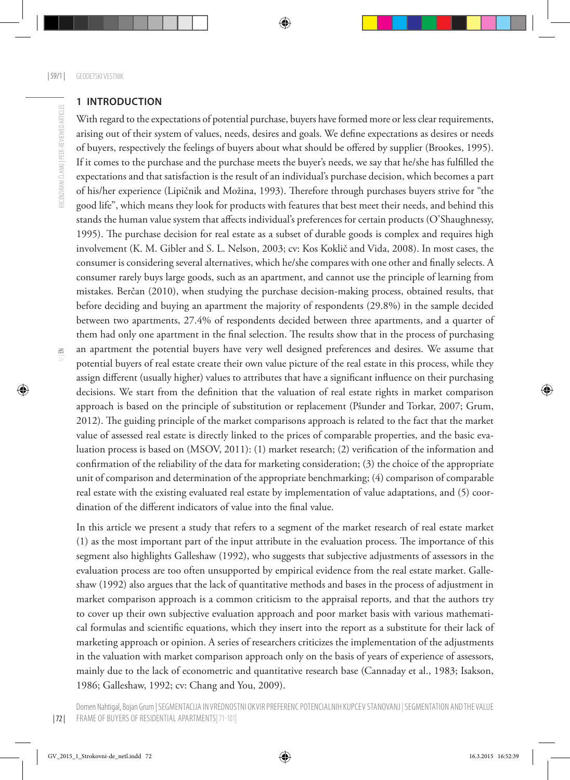#### **1 INTRODUCTION**

With regard to the expectations of potential purchase, buyers have formed more or less clear requirements, arising out of their system of values, needs, desires and goals. We define expectations as desires or needs of buyers, respectively the feelings of buyers about what should be offered by supplier (Brookes, 1995). If it comes to the purchase and the purchase meets the buyer's needs, we say that he/she has fulfilled the expectations and that satisfaction is the result of an individual's purchase decision, which becomes a part of his/her experience (Lipičnik and Možina, 1993). Therefore through purchases buyers strive for "the good life", which means they look for products with features that best meet their needs, and behind this stands the human value system that affects individual's preferences for certain products (O'Shaughnessy, 1995). The purchase decision for real estate as a subset of durable goods is complex and requires high involvement (K. M. Gibler and S. L. Nelson, 2003; cv: Kos Koklič and Vida, 2008). In most cases, the consumer is considering several alternatives, which he/she compares with one other and finally selects. A consumer rarely buys large goods, such as an apartment, and cannot use the principle of learning from mistakes. Berčan (2010), when studying the purchase decision-making process, obtained results, that before deciding and buying an apartment the majority of respondents (29.8%) in the sample decided between two apartments, 27.4% of respondents decided between three apartments, and a quarter of them had only one apartment in the final selection. The results show that in the process of purchasing an apartment the potential buyers have very well designed preferences and desires. We assume that potential buyers of real estate create their own value picture of the real estate in this process, while they assign different (usually higher) values to attributes that have a significant influence on their purchasing decisions. We start from the definition that the valuation of real estate rights in market comparison approach is based on the principle of substitution or replacement (Pšunder and Torkar, 2007; Grum, 2012). The guiding principle of the market comparisons approach is related to the fact that the market value of assessed real estate is directly linked to the prices of comparable properties, and the basic evaluation process is based on (MSOV, 2011): (1) market research; (2) verification of the information and confirmation of the reliability of the data for marketing consideration; (3) the choice of the appropriate unit of comparison and determination of the appropriate benchmarking; (4) comparison of comparable real estate with the existing evaluated real estate by implementation of value adaptations, and (5) coordination of the different indicators of value into the final value.

In this article we present a study that refers to a segment of the market research of real estate market (1) as the most important part of the input attribute in the evaluation process. The importance of this segment also highlights Galleshaw (1992), who suggests that subjective adjustments of assessors in the evaluation process are too often unsupported by empirical evidence from the real estate market. Galleshaw (1992) also argues that the lack of quantitative methods and bases in the process of adjustment in market comparison approach is a common criticism to the appraisal reports, and that the authors try to cover up their own subjective evaluation approach and poor market basis with various mathematical formulas and scientific equations, which they insert into the report as a substitute for their lack of marketing approach or opinion. A series of researchers criticizes the implementation of the adjustments in the valuation with market comparison approach only on the basis of years of experience of assessors, mainly due to the lack of econometric and quantitative research base (Cannaday et al., 1983; Isakson, 1986; Galleshaw, 1992; cv: Chang and You, 2009).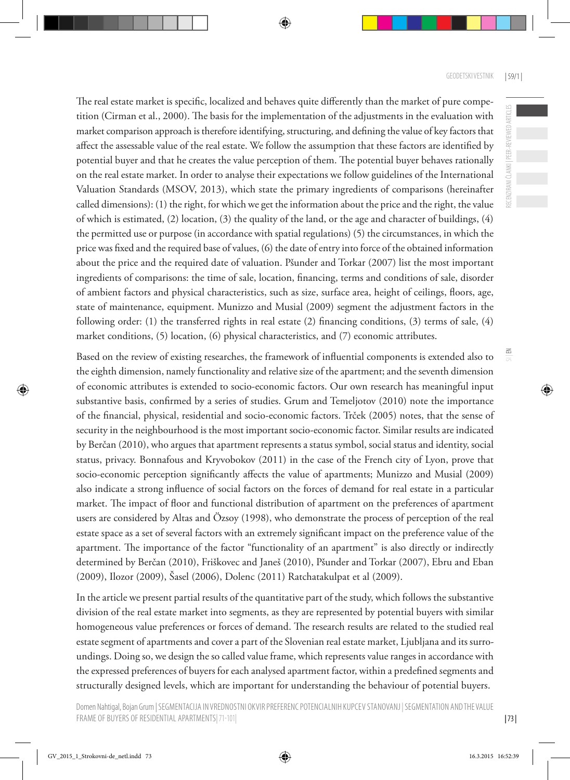RECENZIRANI ČLANKI | PEER-REVIEWED ARTICLES

 $\leq$ 

The real estate market is specific, localized and behaves quite differently than the market of pure competition (Cirman et al., 2000). The basis for the implementation of the adjustments in the evaluation with market comparison approach is therefore identifying, structuring, and defining the value of key factors that affect the assessable value of the real estate. We follow the assumption that these factors are identified by potential buyer and that he creates the value perception of them. The potential buyer behaves rationally on the real estate market. In order to analyse their expectations we follow guidelines of the International Valuation Standards (MSOV, 2013), which state the primary ingredients of comparisons (hereinafter called dimensions): (1) the right, for which we get the information about the price and the right, the value of which is estimated, (2) location, (3) the quality of the land, or the age and character of buildings, (4) the permitted use or purpose (in accordance with spatial regulations) (5) the circumstances, in which the price was fixed and the required base of values, (6) the date of entry into force of the obtained information about the price and the required date of valuation. Pšunder and Torkar (2007) list the most important ingredients of comparisons: the time of sale, location, financing, terms and conditions of sale, disorder of ambient factors and physical characteristics, such as size, surface area, height of ceilings, floors, age, state of maintenance, equipment. Munizzo and Musial (2009) segment the adjustment factors in the following order: (1) the transferred rights in real estate (2) financing conditions, (3) terms of sale, (4) market conditions, (5) location, (6) physical characteristics, and (7) economic attributes.

Based on the review of existing researches, the framework of influential components is extended also to the eighth dimension, namely functionality and relative size of the apartment; and the seventh dimension of economic attributes is extended to socio-economic factors. Our own research has meaningful input substantive basis, confirmed by a series of studies. Grum and Temeljotov (2010) note the importance of the financial, physical, residential and socio-economic factors. Trček (2005) notes, that the sense of security in the neighbourhood is the most important socio-economic factor. Similar results are indicated by Berčan (2010), who argues that apartment represents a status symbol, social status and identity, social status, privacy. Bonnafous and Kryvobokov (2011) in the case of the French city of Lyon, prove that socio-economic perception significantly affects the value of apartments; Munizzo and Musial (2009) also indicate a strong influence of social factors on the forces of demand for real estate in a particular market. The impact of floor and functional distribution of apartment on the preferences of apartment users are considered by Altas and Özsoy (1998), who demonstrate the process of perception of the real estate space as a set of several factors with an extremely significant impact on the preference value of the apartment. The importance of the factor "functionality of an apartment" is also directly or indirectly determined by Berčan (2010), Friškovec and Janeš (2010), Pšunder and Torkar (2007), Ebru and Eban (2009), Ilozor (2009), Šasel (2006), Dolenc (2011) Ratchatakulpat et al (2009).

In the article we present partial results of the quantitative part of the study, which follows the substantive division of the real estate market into segments, as they are represented by potential buyers with similar homogeneous value preferences or forces of demand. The research results are related to the studied real estate segment of apartments and cover a part of the Slovenian real estate market, Ljubljana and its surroundings. Doing so, we design the so called value frame, which represents value ranges in accordance with the expressed preferences of buyers for each analysed apartment factor, within a predefined segments and structurally designed levels, which are important for understanding the behaviour of potential buyers.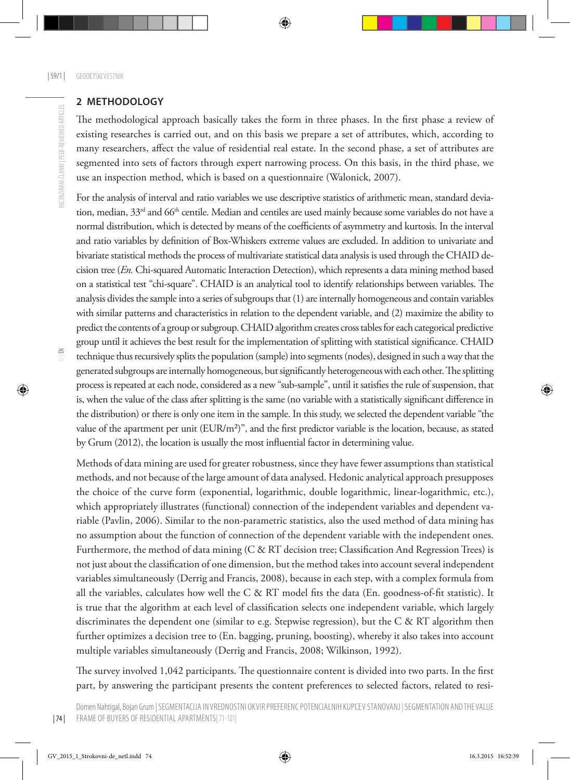## **2 METHODOLOGY**

The methodological approach basically takes the form in three phases. In the first phase a review of existing researches is carried out, and on this basis we prepare a set of attributes, which, according to many researchers, affect the value of residential real estate. In the second phase, a set of attributes are segmented into sets of factors through expert narrowing process. On this basis, in the third phase, we use an inspection method, which is based on a questionnaire (Walonick, 2007).

For the analysis of interval and ratio variables we use descriptive statistics of arithmetic mean, standard deviation, median, 33<sup>rd</sup> and 66<sup>th</sup> centile. Median and centiles are used mainly because some variables do not have a normal distribution, which is detected by means of the coefficients of asymmetry and kurtosis. In the interval and ratio variables by definition of Box-Whiskers extreme values are excluded. In addition to univariate and bivariate statistical methods the process of multivariate statistical data analysis is used through the CHAID decision tree (*En.* Chi-squared Automatic Interaction Detection), which represents a data mining method based on a statistical test "chi-square". CHAID is an analytical tool to identify relationships between variables. The analysis divides the sample into a series of subgroups that (1) are internally homogeneous and contain variables with similar patterns and characteristics in relation to the dependent variable, and (2) maximize the ability to predict the contents of a group or subgroup. CHAID algorithm creates cross tables for each categorical predictive group until it achieves the best result for the implementation of splitting with statistical significance. CHAID technique thus recursively splits the population (sample) into segments (nodes), designed in such a way that the generated subgroups are internally homogeneous, but significantly heterogeneous with each other. The splitting process is repeated at each node, considered as a new "sub-sample", until it satisfies the rule of suspension, that is, when the value of the class after splitting is the same (no variable with a statistically significant difference in the distribution) or there is only one item in the sample. In this study, we selected the dependent variable "the value of the apartment per unit  $(EUR/m<sup>2</sup>)$ ", and the first predictor variable is the location, because, as stated by Grum (2012), the location is usually the most influential factor in determining value.

Methods of data mining are used for greater robustness, since they have fewer assumptions than statistical methods, and not because of the large amount of data analysed. Hedonic analytical approach presupposes the choice of the curve form (exponential, logarithmic, double logarithmic, linear-logarithmic, etc.), which appropriately illustrates (functional) connection of the independent variables and dependent variable (Pavlin, 2006). Similar to the non-parametric statistics, also the used method of data mining has no assumption about the function of connection of the dependent variable with the independent ones. Furthermore, the method of data mining (C & RT decision tree; Classification And Regression Trees) is not just about the classification of one dimension, but the method takes into account several independent variables simultaneously (Derrig and Francis, 2008), because in each step, with a complex formula from all the variables, calculates how well the C & RT model fits the data (En. goodness-of-fit statistic). It is true that the algorithm at each level of classification selects one independent variable, which largely discriminates the dependent one (similar to e.g. Stepwise regression), but the C & RT algorithm then further optimizes a decision tree to (En. bagging, pruning, boosting), whereby it also takes into account multiple variables simultaneously (Derrig and Francis, 2008; Wilkinson, 1992).

The survey involved 1,042 participants. The questionnaire content is divided into two parts. In the first part, by answering the participant presents the content preferences to selected factors, related to resi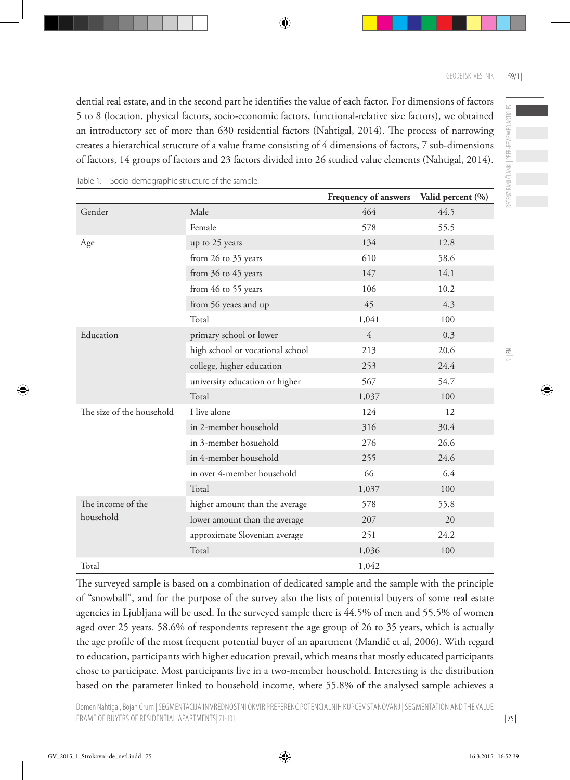dential real estate, and in the second part he identifies the value of each factor. For dimensions of factors 5 to 8 (location, physical factors, socio-economic factors, functional-relative size factors), we obtained an introductory set of more than 630 residential factors (Nahtigal, 2014). The process of narrowing creates a hierarchical structure of a value frame consisting of 4 dimensions of factors, 7 sub-dimensions of factors, 14 groups of factors and 23 factors divided into 26 studied value elements (Nahtigal, 2014).

|                           |                                  | Frequency of answers | Valid percent (%) |
|---------------------------|----------------------------------|----------------------|-------------------|
| Gender                    | Male                             | 464                  | 44.5              |
|                           | Female                           | 578                  | 55.5              |
| Age                       | up to 25 years                   | 134                  | 12.8              |
|                           | from 26 to 35 years              | 610                  | 58.6              |
|                           | from 36 to 45 years              | 147                  | 14.1              |
|                           | from 46 to 55 years              | 106                  | 10.2              |
|                           | from 56 yeaes and up             | 45                   | 4.3               |
|                           | Total                            | 1,041                | 100               |
| Education                 | primary school or lower          | $\overline{4}$       | 0.3               |
|                           | high school or vocational school | 213                  | 20.6              |
|                           | college, higher education        | 253                  | 24.4              |
|                           | university education or higher   | 567                  | 54.7              |
|                           | Total                            | 1,037                | 100               |
| The size of the household | I live alone                     | 124                  | 12                |
|                           | in 2-member household            | 316                  | 30.4              |
|                           | in 3-member hosuehold            | 276                  | 26.6              |
|                           | in 4-member household            | 255                  | 24.6              |
|                           | in over 4-member household       | 66                   | 6.4               |
|                           | Total                            | 1,037                | 100               |
| The income of the         | higher amount than the average   | 578                  | 55.8              |
| household                 | lower amount than the average    | 207                  | 20                |
|                           | approximate Slovenian average    | 251                  | 24.2              |
|                           | Total                            | 1,036                | 100               |
| Total                     |                                  | 1,042                |                   |

Table 1: Socio-demographic structure of the sample.

The surveyed sample is based on a combination of dedicated sample and the sample with the principle of "snowball", and for the purpose of the survey also the lists of potential buyers of some real estate agencies in Ljubljana will be used. In the surveyed sample there is 44.5% of men and 55.5% of women aged over 25 years. 58.6% of respondents represent the age group of 26 to 35 years, which is actually the age profile of the most frequent potential buyer of an apartment (Mandič et al, 2006). With regard to education, participants with higher education prevail, which means that mostly educated participants chose to participate. Most participants live in a two-member household. Interesting is the distribution based on the parameter linked to household income, where 55.8% of the analysed sample achieves a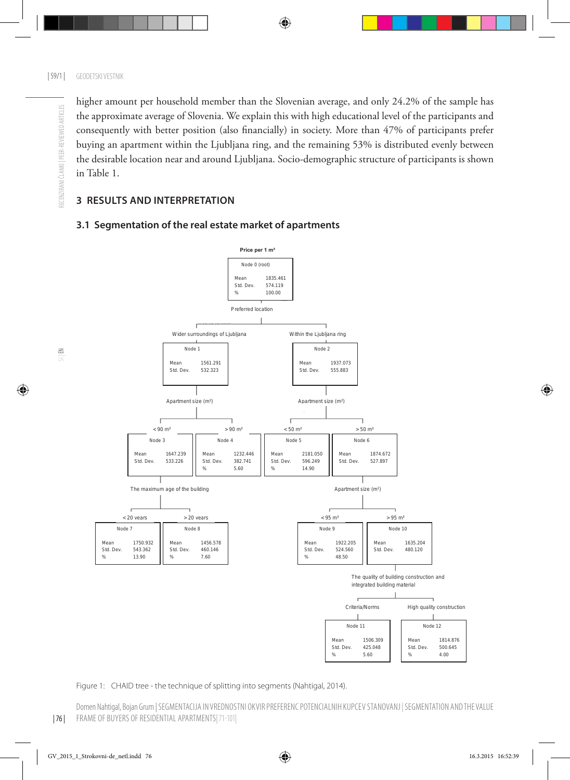higher amount per household member than the Slovenian average, and only 24.2% of the sample has the approximate average of Slovenia. We explain this with high educational level of the participants and consequently with better position (also financially) in society. More than 47% of participants prefer buying an apartment within the Ljubljana ring, and the remaining 53% is distributed evenly between the desirable location near and around Ljubljana. Socio-demographic structure of participants is shown in Table 1.

### **3 RESULTS AND INTERPRETATION**



#### **3.1 Segmentation of the real estate market of apartments**

Figure 1: CHAID tree - the technique of splitting into segments (Nahtigal, 2014).

Domen Nahtigal, Bojan Grum | SEGMENTACIJA IN VREDNOSTNI OKVIR PREFERENC POTENCIALNIH KUPCEV STANOVANJ | SEGMENTATION AND THE VALUE FRAME OF BUYERS OF RESIDENTIAL APARTMENTS|71-101|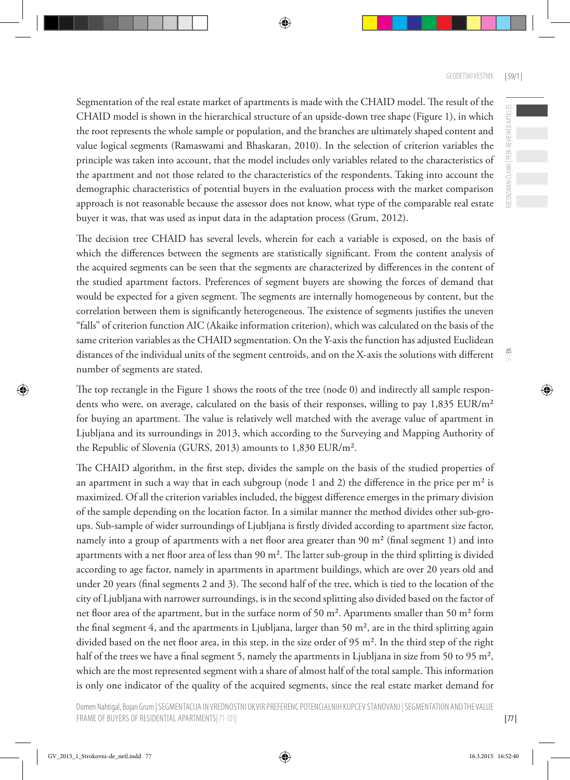RECENZIRANI ČLANKI | PEER-REVIEWED ARTICLES

 $\leq$ 

Segmentation of the real estate market of apartments is made with the CHAID model. The result of the CHAID model is shown in the hierarchical structure of an upside-down tree shape (Figure 1), in which the root represents the whole sample or population, and the branches are ultimately shaped content and value logical segments (Ramaswami and Bhaskaran, 2010). In the selection of criterion variables the principle was taken into account, that the model includes only variables related to the characteristics of the apartment and not those related to the characteristics of the respondents. Taking into account the demographic characteristics of potential buyers in the evaluation process with the market comparison approach is not reasonable because the assessor does not know, what type of the comparable real estate buyer it was, that was used as input data in the adaptation process (Grum, 2012).

The decision tree CHAID has several levels, wherein for each a variable is exposed, on the basis of which the differences between the segments are statistically significant. From the content analysis of the acquired segments can be seen that the segments are characterized by differences in the content of the studied apartment factors. Preferences of segment buyers are showing the forces of demand that would be expected for a given segment. The segments are internally homogeneous by content, but the correlation between them is significantly heterogeneous. The existence of segments justifies the uneven "falls" of criterion function AIC (Akaike information criterion), which was calculated on the basis of the same criterion variables as the CHAID segmentation. On the Y-axis the function has adjusted Euclidean distances of the individual units of the segment centroids, and on the X-axis the solutions with different number of segments are stated.

The top rectangle in the Figure 1 shows the roots of the tree (node 0) and indirectly all sample respondents who were, on average, calculated on the basis of their responses, willing to pay 1,835 EUR/m<sup>2</sup> for buying an apartment. The value is relatively well matched with the average value of apartment in Ljubljana and its surroundings in 2013, which according to the Surveying and Mapping Authority of the Republic of Slovenia (GURS, 2013) amounts to 1,830 EUR/m².

The CHAID algorithm, in the first step, divides the sample on the basis of the studied properties of an apartment in such a way that in each subgroup (node 1 and 2) the difference in the price per  $m<sup>2</sup>$  is maximized. Of all the criterion variables included, the biggest difference emerges in the primary division of the sample depending on the location factor. In a similar manner the method divides other sub-groups. Sub-sample of wider surroundings of Ljubljana is firstly divided according to apartment size factor, namely into a group of apartments with a net floor area greater than 90 m² (final segment 1) and into apartments with a net floor area of less than 90 m². The latter sub-group in the third splitting is divided according to age factor, namely in apartments in apartment buildings, which are over 20 years old and under 20 years (final segments 2 and 3). The second half of the tree, which is tied to the location of the city of Ljubljana with narrower surroundings, is in the second splitting also divided based on the factor of net floor area of the apartment, but in the surface norm of 50 m<sup>2</sup>. Apartments smaller than 50 m<sup>2</sup> form the final segment 4, and the apartments in Ljubljana, larger than 50 m², are in the third splitting again divided based on the net floor area, in this step, in the size order of 95 m². In the third step of the right half of the trees we have a final segment 5, namely the apartments in Ljubljana in size from 50 to 95 m<sup>2</sup>, which are the most represented segment with a share of almost half of the total sample. This information is only one indicator of the quality of the acquired segments, since the real estate market demand for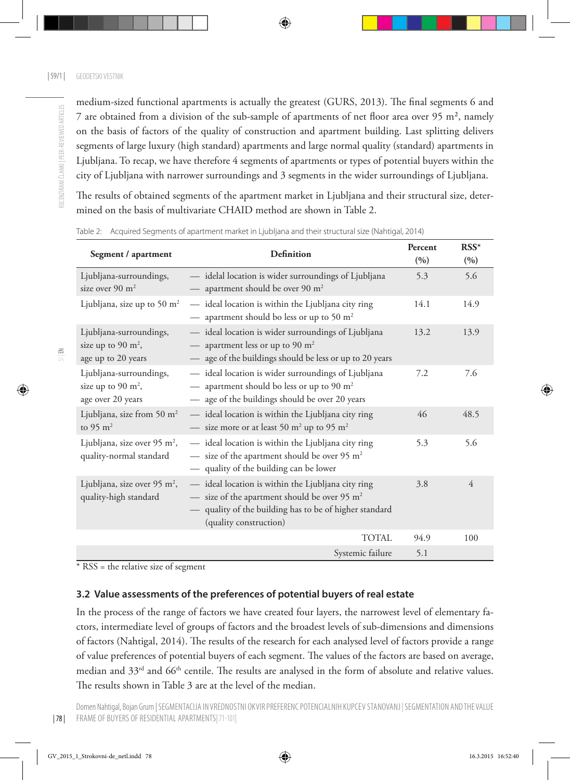RECENZIRANI ČLANKI I PEER-REVIEWED ARTICLES

medium-sized functional apartments is actually the greatest (GURS, 2013). The final segments 6 and 7 are obtained from a division of the sub-sample of apartments of net floor area over 95 m², namely on the basis of factors of the quality of construction and apartment building. Last splitting delivers segments of large luxury (high standard) apartments and large normal quality (standard) apartments in Ljubljana. To recap, we have therefore 4 segments of apartments or types of potential buyers within the city of Ljubljana with narrower surroundings and 3 segments in the wider surroundings of Ljubljana.

The results of obtained segments of the apartment market in Ljubljana and their structural size, determined on the basis of multivariate CHAID method are shown in Table 2.

| Segment / apartment                                                    | <b>Definition</b>                                                                                                                                                                                                     | Percent<br>(9/0) | $RSS*$<br>(9/0) |
|------------------------------------------------------------------------|-----------------------------------------------------------------------------------------------------------------------------------------------------------------------------------------------------------------------|------------------|-----------------|
| Ljubljana-surroundings,<br>size over 90 $m2$                           | idelal location is wider surroundings of Ljubljana<br>apartment should be over 90 m <sup>2</sup>                                                                                                                      | 5.3              | 5.6             |
| Ljubljana, size up to 50 $m2$                                          | - ideal location is within the Ljubljana city ring<br>apartment should bo less or up to 50 m <sup>2</sup>                                                                                                             | 14.1             | 14.9            |
| Ljubljana-surroundings,<br>size up to 90 $m^2$ ,<br>age up to 20 years | ideal location is wider surroundings of Ljubljana<br>apartment less or up to 90 $m2$<br>age of the buildings should be less or up to 20 years<br>$\hspace{0.1mm}-\hspace{0.1mm}$                                      | 13.2             | 13.9            |
| Ljubljana-surroundings,<br>size up to 90 $m^2$ ,<br>age over 20 years  | - ideal location is wider surroundings of Ljubljana<br>apartment should bo less or up to 90 m <sup>2</sup><br>age of the buildings should be over 20 years                                                            | 7.2              | 7.6             |
| Ljubljana, size from 50 m <sup>2</sup><br>to 95 $m2$                   | - ideal location is within the Ljubljana city ring<br>— size more or at least 50 m <sup>2</sup> up to 95 m <sup>2</sup>                                                                                               | 46               | 48.5            |
| Ljubljana, size over 95 m <sup>2</sup> ,<br>quality-normal standard    | - ideal location is within the Ljubljana city ring<br>$-$ size of the apartment should be over 95 m <sup>2</sup><br>- quality of the building can be lower                                                            | 5.3              | 5.6             |
| Ljubljana, size over 95 m <sup>2</sup> ,<br>quality-high standard      | - ideal location is within the Ljubljana city ring<br>size of the apartment should be over 95 m <sup>2</sup><br>$\qquad \qquad -$<br>- quality of the building has to be of higher standard<br>(quality construction) | 3.8              | 4               |
|                                                                        | TOTAL                                                                                                                                                                                                                 | 94.9             | 100             |
|                                                                        | Systemic failure                                                                                                                                                                                                      | 5.1              |                 |

Table 2: Acquired Segments of apartment market in Ljubljana and their structural size (Nahtigal, 2014)

\* RSS = the relative size of segment

#### **3.2 Value assessments of the preferences of potential buyers of real estate**

In the process of the range of factors we have created four layers, the narrowest level of elementary factors, intermediate level of groups of factors and the broadest levels of sub-dimensions and dimensions of factors (Nahtigal, 2014). The results of the research for each analysed level of factors provide a range of value preferences of potential buyers of each segment. The values of the factors are based on average, median and 33<sup>rd</sup> and 66<sup>th</sup> centile. The results are analysed in the form of absolute and relative values. The results shown in Table 3 are at the level of the median.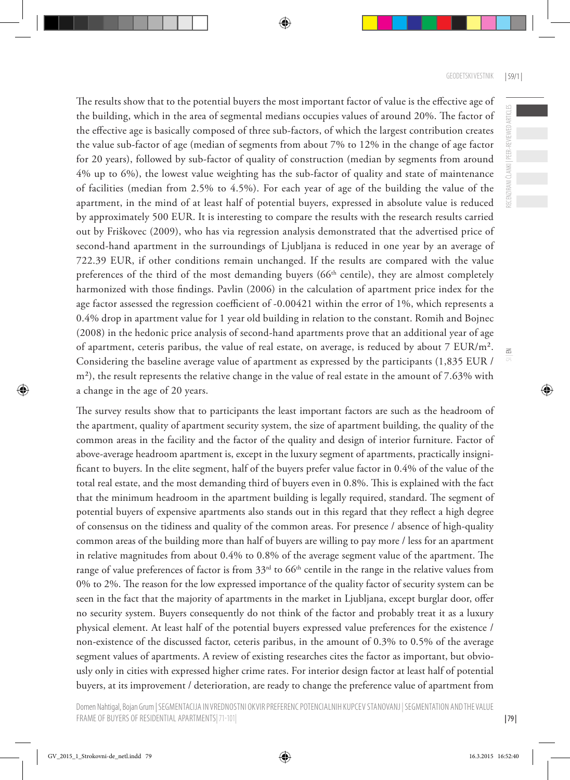The results show that to the potential buyers the most important factor of value is the effective age of the building, which in the area of segmental medians occupies values of around 20%. The factor of the effective age is basically composed of three sub-factors, of which the largest contribution creates the value sub-factor of age (median of segments from about 7% to 12% in the change of age factor for 20 years), followed by sub-factor of quality of construction (median by segments from around 4% up to 6%), the lowest value weighting has the sub-factor of quality and state of maintenance of facilities (median from 2.5% to 4.5%). For each year of age of the building the value of the apartment, in the mind of at least half of potential buyers, expressed in absolute value is reduced by approximately 500 EUR. It is interesting to compare the results with the research results carried out by Friškovec (2009), who has via regression analysis demonstrated that the advertised price of second-hand apartment in the surroundings of Ljubljana is reduced in one year by an average of 722.39 EUR, if other conditions remain unchanged. If the results are compared with the value preferences of the third of the most demanding buyers ( $66<sup>th</sup>$  centile), they are almost completely harmonized with those findings. Pavlin (2006) in the calculation of apartment price index for the age factor assessed the regression coefficient of -0.00421 within the error of 1%, which represents a 0.4% drop in apartment value for 1 year old building in relation to the constant. Romih and Bojnec (2008) in the hedonic price analysis of second-hand apartments prove that an additional year of age of apartment, ceteris paribus, the value of real estate, on average, is reduced by about 7 EUR/m². Considering the baseline average value of apartment as expressed by the participants (1,835 EUR / m²), the result represents the relative change in the value of real estate in the amount of 7.63% with a change in the age of 20 years.

The survey results show that to participants the least important factors are such as the headroom of the apartment, quality of apartment security system, the size of apartment building, the quality of the common areas in the facility and the factor of the quality and design of interior furniture. Factor of above-average headroom apartment is, except in the luxury segment of apartments, practically insignificant to buyers. In the elite segment, half of the buyers prefer value factor in 0.4% of the value of the total real estate, and the most demanding third of buyers even in 0.8%. This is explained with the fact that the minimum headroom in the apartment building is legally required, standard. The segment of potential buyers of expensive apartments also stands out in this regard that they reflect a high degree of consensus on the tidiness and quality of the common areas. For presence / absence of high-quality common areas of the building more than half of buyers are willing to pay more / less for an apartment in relative magnitudes from about 0.4% to 0.8% of the average segment value of the apartment. The range of value preferences of factor is from 33<sup>rd</sup> to 66<sup>th</sup> centile in the range in the relative values from 0% to 2%. The reason for the low expressed importance of the quality factor of security system can be seen in the fact that the majority of apartments in the market in Ljubljana, except burglar door, offer no security system. Buyers consequently do not think of the factor and probably treat it as a luxury physical element. At least half of the potential buyers expressed value preferences for the existence / non-existence of the discussed factor, ceteris paribus, in the amount of 0.3% to 0.5% of the average segment values of apartments. A review of existing researches cites the factor as important, but obviously only in cities with expressed higher crime rates. For interior design factor at least half of potential buyers, at its improvement / deterioration, are ready to change the preference value of apartment from

 $\leq$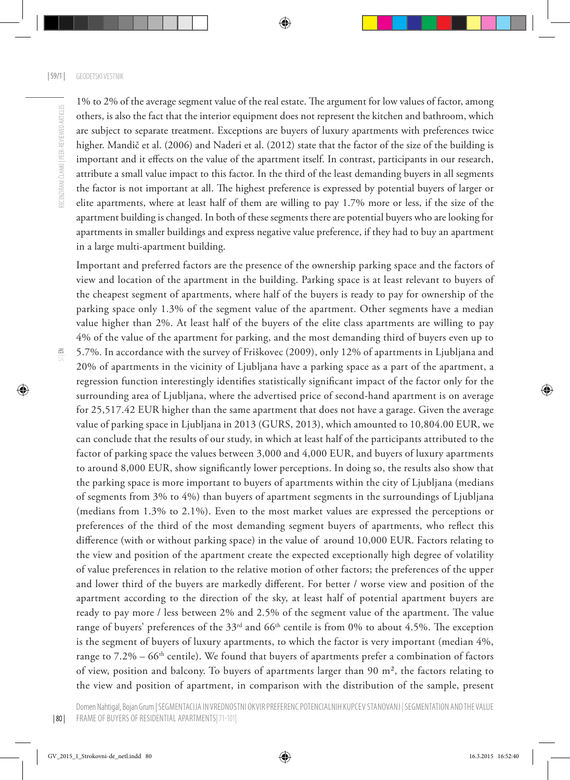$\Xi$ 

1% to 2% of the average segment value of the real estate. The argument for low values of factor, among others, is also the fact that the interior equipment does not represent the kitchen and bathroom, which are subject to separate treatment. Exceptions are buyers of luxury apartments with preferences twice higher. Mandič et al. (2006) and Naderi et al. (2012) state that the factor of the size of the building is important and it effects on the value of the apartment itself. In contrast, participants in our research, attribute a small value impact to this factor. In the third of the least demanding buyers in all segments the factor is not important at all. The highest preference is expressed by potential buyers of larger or elite apartments, where at least half of them are willing to pay 1.7% more or less, if the size of the apartment building is changed. In both of these segments there are potential buyers who are looking for apartments in smaller buildings and express negative value preference, if they had to buy an apartment in a large multi-apartment building.

Important and preferred factors are the presence of the ownership parking space and the factors of view and location of the apartment in the building. Parking space is at least relevant to buyers of the cheapest segment of apartments, where half of the buyers is ready to pay for ownership of the parking space only 1.3% of the segment value of the apartment. Other segments have a median value higher than 2%. At least half of the buyers of the elite class apartments are willing to pay 4% of the value of the apartment for parking, and the most demanding third of buyers even up to 5.7%. In accordance with the survey of Friškovec (2009), only 12% of apartments in Ljubljana and 20% of apartments in the vicinity of Ljubljana have a parking space as a part of the apartment, a regression function interestingly identifies statistically significant impact of the factor only for the surrounding area of Ljubljana, where the advertised price of second-hand apartment is on average for 25,517.42 EUR higher than the same apartment that does not have a garage. Given the average value of parking space in Ljubljana in 2013 (GURS, 2013), which amounted to 10,804.00 EUR, we can conclude that the results of our study, in which at least half of the participants attributed to the factor of parking space the values between 3,000 and 4,000 EUR, and buyers of luxury apartments to around 8,000 EUR, show significantly lower perceptions. In doing so, the results also show that the parking space is more important to buyers of apartments within the city of Ljubljana (medians of segments from 3% to 4%) than buyers of apartment segments in the surroundings of Ljubljana (medians from 1.3% to 2.1%). Even to the most market values are expressed the perceptions or preferences of the third of the most demanding segment buyers of apartments, who reflect this difference (with or without parking space) in the value of around 10,000 EUR. Factors relating to the view and position of the apartment create the expected exceptionally high degree of volatility of value preferences in relation to the relative motion of other factors; the preferences of the upper and lower third of the buyers are markedly different. For better / worse view and position of the apartment according to the direction of the sky, at least half of potential apartment buyers are ready to pay more / less between 2% and 2.5% of the segment value of the apartment. The value range of buyers' preferences of the 33<sup>rd</sup> and 66<sup>th</sup> centile is from 0% to about 4.5%. The exception is the segment of buyers of luxury apartments, to which the factor is very important (median 4%, range to 7.2% – 66<sup>th</sup> centile). We found that buyers of apartments prefer a combination of factors of view, position and balcony. To buyers of apartments larger than 90 m², the factors relating to the view and position of apartment, in comparison with the distribution of the sample, present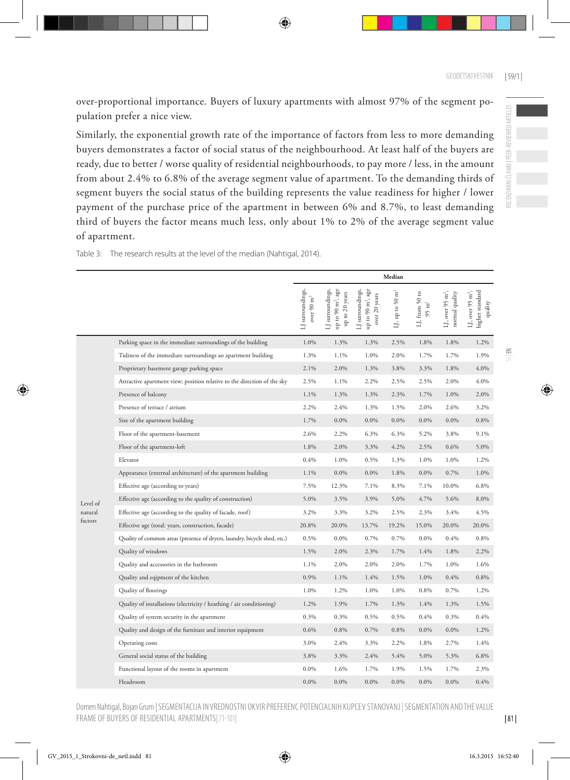over-proportional importance. Buyers of luxury apartments with almost 97% of the segment population prefer a nice view.

Similarly, the exponential growth rate of the importance of factors from less to more demanding buyers demonstrates a factor of social status of the neighbourhood. At least half of the buyers are ready, due to better / worse quality of residential neighbourhoods, to pay more / less, in the amount from about 2.4% to 6.8% of the average segment value of apartment. To the demanding thirds of segment buyers the social status of the building represents the value readiness for higher / lower payment of the purchase price of the apartment in between 6% and 8.7%, to least demanding third of buyers the factor means much less, only about 1% to 2% of the average segment value of apartment.

|          |                                                                           | Median                                      |                                                                     |                                                                       |                                      |                                                 |                                                |                                                            |
|----------|---------------------------------------------------------------------------|---------------------------------------------|---------------------------------------------------------------------|-----------------------------------------------------------------------|--------------------------------------|-------------------------------------------------|------------------------------------------------|------------------------------------------------------------|
|          |                                                                           | surroundings,<br>over $90 \text{ m}^2$<br>ä | up to 90 m <sup>2</sup> , age<br>LJ surroundings,<br>up to 20 years | LJ surroundings,<br>up to 90 m <sup>2</sup> , age<br>years<br>over 20 | $\mathbf{\hat{H}}^2$<br>LJ, up to 50 | $\mathbf{S}$<br>LJ, from 50<br>$95 \text{ m}^2$ | LJ, over 95 m <sup>2</sup> ,<br>normal quality | higher standard<br>LJ, over 95 m <sup>2</sup> ,<br>quality |
|          | Parking space in the immediate surroundings of the building               | 1.0%                                        | 1.3%                                                                | 1.3%                                                                  | 2.5%                                 | 1.8%                                            | 1.8%                                           | 1.2%                                                       |
|          | Tidiness of the immediate surroundings ao apartment building              | 1.3%                                        | 1.1%                                                                | 1.0%                                                                  | 2.0%                                 | 1.7%                                            | 1.7%                                           | 1.9%                                                       |
|          | Proprietary basement garage parking space                                 | 2.1%                                        | 2.0%                                                                | 1.3%                                                                  | 3.8%                                 | 3.3%                                            | 1.8%                                           | 4.0%                                                       |
|          | Attractive apartment view; position relative to the direction of the sky  | 2.5%                                        | $1.1\%$                                                             | 2.2%                                                                  | 2.5%                                 | 2.5%                                            | 2.0%                                           | 4.0%                                                       |
|          | Presence of balcony                                                       | 1.1%                                        | 1.3%                                                                | 1.3%                                                                  | 2.3%                                 | 1.7%                                            | 1.0%                                           | 2.0%                                                       |
|          | Presence of terrace / atrium                                              | 2.2%                                        | 2.4%                                                                | 1.3%                                                                  | 1.5%                                 | 2.0%                                            | 2.6%                                           | 3.2%                                                       |
|          | Size of the apartment building                                            | 1.7%                                        | $0.0\%$                                                             | 0.0%                                                                  | 0.0%                                 | $0.0\%$                                         | 0.0%                                           | 0.8%                                                       |
|          | Floor of the apartment-basement                                           | 2.6%                                        | 2.2%                                                                | 6.3%                                                                  | 6.3%                                 | 5.2%                                            | 3.8%                                           | 9.1%                                                       |
|          | Floor of the apartment-loft                                               | 1.8%                                        | 2.0%                                                                | 3.3%                                                                  | 4.2%                                 | 2.5%                                            | 0.6%                                           | 5.0%                                                       |
|          | Elevator                                                                  | 0.4%                                        | 1.0%                                                                | 0.5%                                                                  | 1.3%                                 | 1.0%                                            | 1.0%                                           | 1.2%                                                       |
|          | Appearance (external architecture) of the apartment building              | 1.1%                                        | 0.0%                                                                | 0.0%                                                                  | 1.8%                                 | 0.0%                                            | 0.7%                                           | 1.0%                                                       |
|          | Effective age (according to years)                                        | 7.5%                                        | 12.3%                                                               | 7.1%                                                                  | 8.3%                                 | 7.1%                                            | 10.0%                                          | 6.8%                                                       |
| Level of | Effective age (according to the quality of construction)                  | 5.0%                                        | 3.5%                                                                | 3.9%                                                                  | 5.0%                                 | 4.7%                                            | 5.6%                                           | 8.0%                                                       |
| natural  | Effective age (according to the quality of facade, roof)                  | 3.2%                                        | 3.3%                                                                | 3.2%                                                                  | 2.5%                                 | 2.3%                                            | 3.4%                                           | 4.5%                                                       |
| factors  | Effective age (total: years, construction, facade)                        | 20.8%                                       | 20.0%                                                               | 13.7%                                                                 | 19.2%                                | 15.0%                                           | 20.0%                                          | 20.0%                                                      |
|          | Quality of common areas (presence of dryers, laundry, bicycle shed, etc.) | 0.5%                                        | 0.0%                                                                | 0.7%                                                                  | 0.7%                                 | 0.0%                                            | 0.4%                                           | 0.8%                                                       |
|          | Quality of windows                                                        | 1.5%                                        | 2.0%                                                                | 2.3%                                                                  | 1.7%                                 | 1.4%                                            | 1.8%                                           | 2.2%                                                       |
|          | Quality and accessories in the bathroom                                   | 1.1%                                        | 2.0%                                                                | 2.0%                                                                  | 2.0%                                 | 1.7%                                            | 1.0%                                           | 1.6%                                                       |
|          | Quality and eqipment of the kitchen                                       | 0.9%                                        | 1.1%                                                                | 1.4%                                                                  | 1.5%                                 | 1.0%                                            | 0.4%                                           | 0.8%                                                       |
|          | Quality of floorings                                                      | 1.0%                                        | 1.2%                                                                | 1.0%                                                                  | 1.0%                                 | 0.8%                                            | 0.7%                                           | 1.2%                                                       |
|          | Quality of installations (electricity / heathing / air conditioning)      | 1.2%                                        | 1.9%                                                                | 1.7%                                                                  | 1.3%                                 | 1.4%                                            | 1.3%                                           | 1.5%                                                       |
|          | Quality of system security in the apartment                               | 0.3%                                        | 0.3%                                                                | 0.5%                                                                  | 0.5%                                 | 0.4%                                            | 0.3%                                           | 0.4%                                                       |
|          | Quality and design of the furniture and interior equipment                | 0.6%                                        | 0.8%                                                                | 0.7%                                                                  | 0.8%                                 | $0.0\%$                                         | $0.0\%$                                        | 1.2%                                                       |
|          | Operating costs                                                           | 3.0%                                        | 2.4%                                                                | 3.3%                                                                  | 2.2%                                 | 1.8%                                            | 2.7%                                           | 1.4%                                                       |
|          | General social status of the building                                     | 3.8%                                        | 3.3%                                                                | 2.4%                                                                  | 5.4%                                 | 5.0%                                            | 5.3%                                           | 6.8%                                                       |
|          | Functional layout of the rooms in apartment                               | 0.0%                                        | 1.6%                                                                | 1.7%                                                                  | 1.9%                                 | 1.5%                                            | 1.7%                                           | 2.3%                                                       |
|          | Headroom                                                                  | 0.0%                                        | $0.0\%$                                                             | 0.0%                                                                  | $0.0\%$                              | 0.0%                                            | $0.0\%$                                        | 0.4%                                                       |

Table 3: The research results at the level of the median (Nahtigal, 2014).

Domen Nahtigal, Bojan Grum | SEGMENTACIJA IN VREDNOSTNI OKVIR PREFERENC POTENCIALNIH KUPCEV STANOVANJ | SEGMENTATION AND THE VALUE FRAME OF BUYERS OF RESIDENTIAL APARTMENTS|71-101|

| 81 |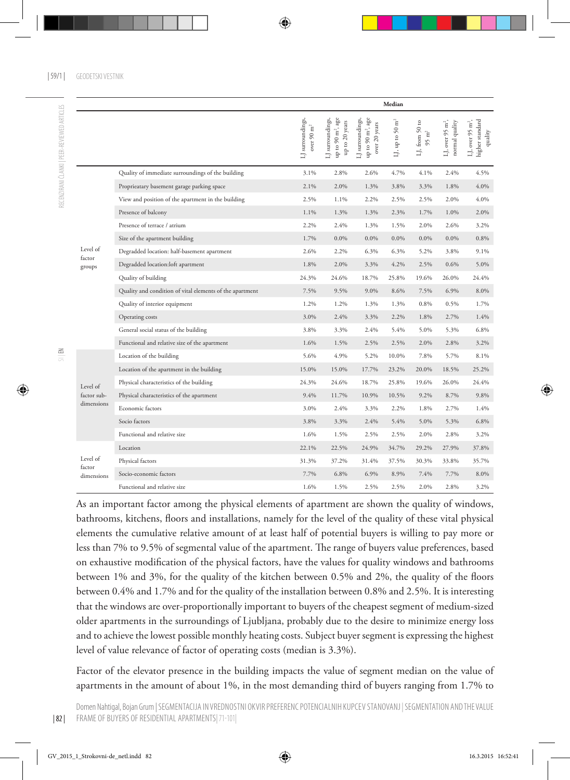|                      |                                                          |                                            |                                                                         |                                                                                    | Median                         |                                      |                                                                                                                                           |                                                            |
|----------------------|----------------------------------------------------------|--------------------------------------------|-------------------------------------------------------------------------|------------------------------------------------------------------------------------|--------------------------------|--------------------------------------|-------------------------------------------------------------------------------------------------------------------------------------------|------------------------------------------------------------|
|                      |                                                          | LJ surroundings,<br>over 90 $\mathrm{m}^2$ | LJ surroundings,<br>up to $90$ m², age<br>up to 20 years                | up to 90 m <sup>2</sup> , age<br>LJ surroundings,<br>$20\;\mathrm{years}$<br>over. | $\mathrm{m}^2$<br>LJ, up to 50 | G<br>LJ, from 50<br>$95 \text{ m}^2$ | LJ, over 95 m <sup>2</sup> ,<br>normal quality                                                                                            | higher standard<br>LJ, over 95 m <sup>2</sup> ,<br>quality |
|                      | Quality of immediate surroundings of the building        | 3.1%                                       | 2.8%                                                                    | 2.6%                                                                               | 4.7%                           | 4.1%                                 | 2.4%                                                                                                                                      | 4.5%                                                       |
|                      | Proprieatary basement garage parking space               | 2.1%                                       | 2.0%                                                                    | 1.3%                                                                               | 3.8%                           | 3.3%                                 | 1.8%                                                                                                                                      | 4.0%                                                       |
|                      | View and position of the apartment in the building       | 2.5%                                       | 1.1%                                                                    | 2.2%                                                                               | 2.5%                           | 2.5%                                 | 2.0%                                                                                                                                      | 4.0%                                                       |
|                      | Presence of balcony                                      | 1.1%                                       | 1.3%                                                                    | 1.3%                                                                               | 2.3%                           | 1.7%                                 | 1.0%                                                                                                                                      | 2.0%                                                       |
|                      | Presence of terrace / atrium                             | 2.2%                                       | 2.4%                                                                    | 1.3%                                                                               | 1.5%                           | 2.0%                                 | 2.6%                                                                                                                                      | 3.2%                                                       |
|                      | Size of the apartment building                           | 1.7%                                       | 0.0%                                                                    | 0.0%                                                                               | 0.0%                           | 0.0%                                 | $0.0\%$                                                                                                                                   | 0.8%                                                       |
| Level of             | Degradded location: half-basement apartment              | 2.6%                                       | 2.2%                                                                    | 6.3%                                                                               | 6.3%                           | 5.2%                                 | 3.8%                                                                                                                                      | 9.1%                                                       |
| factor<br>groups     | Degradded location:loft apartment                        | 1.8%                                       | 2.0%                                                                    | 3.3%                                                                               | 4.2%                           | 2.5%                                 | 0.6%                                                                                                                                      | 5.0%                                                       |
|                      | Quality of building                                      | 24.3%                                      | 24.6%                                                                   | 18.7%                                                                              | 25.8%                          | 19.6%                                | 26.0%<br>6.9%<br>0.5%<br>2.7%<br>5.3%<br>2.8%<br>5.7%<br>18.5%<br>26.0%<br>8.7%<br>2.7%<br>5.3%<br>2.8%<br>27.9%<br>33.8%<br>7.7%<br>2.8% | 24.4%                                                      |
|                      | Quality and condition of vital elements of the apartment | 7.5%                                       | 9.5%                                                                    | 9.0%                                                                               | 8.6%                           | 7.5%                                 |                                                                                                                                           | 8.0%                                                       |
|                      | Quality of interior equipment                            | 1.2%                                       | 1.2%                                                                    | 1.3%                                                                               | 1.3%                           | 0.8%                                 |                                                                                                                                           | 1.7%                                                       |
|                      | Operating costs                                          | 3.0%                                       | 2.4%                                                                    | 3.3%                                                                               | 2.2%                           | 1.8%                                 |                                                                                                                                           | 1.4%                                                       |
|                      | General social status of the building                    | 3.8%                                       | 3.3%                                                                    | 2.4%                                                                               | 5.4%                           | 5.0%                                 |                                                                                                                                           | 6.8%                                                       |
|                      | Functional and relative size of the apartment            | 1.6%                                       | 1.5%                                                                    | 2.5%                                                                               | 2.5%                           | 2.0%                                 |                                                                                                                                           | 3.2%                                                       |
|                      | Location of the building                                 | 5.6%                                       | 4.9%                                                                    | 5.2%                                                                               | 10.0%                          | 7.8%                                 |                                                                                                                                           | 8.1%                                                       |
|                      | Location of the apartment in the building                | 15.0%                                      | 15.0%                                                                   | 17.7%                                                                              | 23.2%                          | 20.0%                                |                                                                                                                                           | 25.2%                                                      |
| Level of             | Physical characteristics of the building                 | 24.3%                                      | 24.6%                                                                   | 18.7%                                                                              | 25.8%                          | 19.6%                                |                                                                                                                                           | 24.4%                                                      |
| factor sub-          | Physical characteristics of the apartment                | 9.4%                                       | 11.7%                                                                   | 10.9%                                                                              | 10.5%                          | 9.2%                                 |                                                                                                                                           | 9.8%                                                       |
| dimensions           | Economic factors                                         | 3.0%                                       | 2.4%                                                                    | 3.3%                                                                               | 2.2%                           | 1.8%                                 |                                                                                                                                           | 1.4%                                                       |
|                      | Socio factors                                            | 3.8%                                       | 3.3%                                                                    | 2.4%                                                                               | 5.4%                           | 5.0%                                 |                                                                                                                                           | 6.8%                                                       |
|                      | Functional and relative size                             | 1.6%                                       | 1.5%                                                                    | 2.5%                                                                               | 2.5%                           | 2.0%                                 |                                                                                                                                           | 3.2%                                                       |
|                      | Location                                                 | 22.1%                                      | 22.5%                                                                   | 24.9%                                                                              | 34.7%                          | 29.2%                                |                                                                                                                                           | 37.8%                                                      |
| Level of             | Physical factors                                         | 31.3%                                      | 37.2%<br>31.4%<br>37.5%<br>6.8%<br>6.9%<br>8.9%<br>1.5%<br>2.5%<br>2.5% | 30.3%                                                                              |                                | 35.7%                                |                                                                                                                                           |                                                            |
| factor<br>dimensions | Socio-economic factors                                   | 7.7%                                       |                                                                         |                                                                                    |                                | 7.4%                                 |                                                                                                                                           | 8.0%                                                       |
|                      | Functional and relative size                             | 1.6%                                       |                                                                         |                                                                                    |                                | 2.0%                                 |                                                                                                                                           | 3.2%                                                       |

As an important factor among the physical elements of apartment are shown the quality of windows, bathrooms, kitchens, floors and installations, namely for the level of the quality of these vital physical elements the cumulative relative amount of at least half of potential buyers is willing to pay more or less than 7% to 9.5% of segmental value of the apartment. The range of buyers value preferences, based on exhaustive modification of the physical factors, have the values for quality windows and bathrooms between 1% and 3%, for the quality of the kitchen between 0.5% and 2%, the quality of the floors between 0.4% and 1.7% and for the quality of the installation between 0.8% and 2.5%. It is interesting that the windows are over-proportionally important to buyers of the cheapest segment of medium-sized older apartments in the surroundings of Ljubljana, probably due to the desire to minimize energy loss and to achieve the lowest possible monthly heating costs. Subject buyer segment is expressing the highest level of value relevance of factor of operating costs (median is 3.3%).

Factor of the elevator presence in the building impacts the value of segment median on the value of apartments in the amount of about 1%, in the most demanding third of buyers ranging from 1.7% to

 $\leq$ 

RECENZIRANI ČLANKI | PEER-REVIEWED ARTICLES

RECENZIRANI ČLANKI I PEER-REVIEWED ARTICLES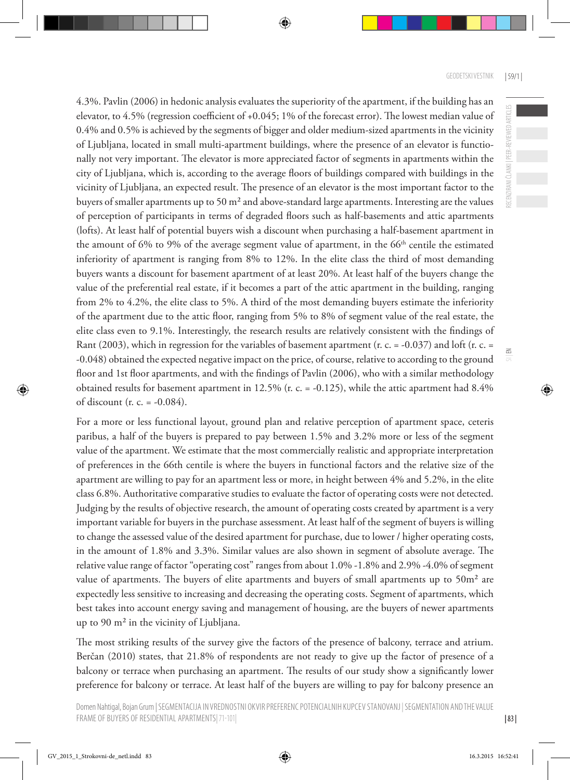ECENZIRANI ČLANKI | PEER-REVIEWED ARTICLES

 $\leq$ 

4.3%. Pavlin (2006) in hedonic analysis evaluates the superiority of the apartment, if the building has an elevator, to 4.5% (regression coefficient of +0.045; 1% of the forecast error). The lowest median value of 0.4% and 0.5% is achieved by the segments of bigger and older medium-sized apartments in the vicinity of Ljubljana, located in small multi-apartment buildings, where the presence of an elevator is functionally not very important. The elevator is more appreciated factor of segments in apartments within the city of Ljubljana, which is, according to the average floors of buildings compared with buildings in the vicinity of Ljubljana, an expected result. The presence of an elevator is the most important factor to the buyers of smaller apartments up to 50 m² and above-standard large apartments. Interesting are the values of perception of participants in terms of degraded floors such as half-basements and attic apartments (lofts). At least half of potential buyers wish a discount when purchasing a half-basement apartment in the amount of 6% to 9% of the average segment value of apartment, in the 66<sup>th</sup> centile the estimated inferiority of apartment is ranging from 8% to 12%. In the elite class the third of most demanding buyers wants a discount for basement apartment of at least 20%. At least half of the buyers change the value of the preferential real estate, if it becomes a part of the attic apartment in the building, ranging from 2% to 4.2%, the elite class to 5%. A third of the most demanding buyers estimate the inferiority of the apartment due to the attic floor, ranging from 5% to 8% of segment value of the real estate, the elite class even to 9.1%. Interestingly, the research results are relatively consistent with the findings of Rant (2003), which in regression for the variables of basement apartment (r. c. = -0.037) and loft (r. c. = -0.048) obtained the expected negative impact on the price, of course, relative to according to the ground floor and 1st floor apartments, and with the findings of Pavlin (2006), who with a similar methodology obtained results for basement apartment in 12.5% (r. c. = -0.125), while the attic apartment had 8.4% of discount (r. c. = -0.084).

For a more or less functional layout, ground plan and relative perception of apartment space, ceteris paribus, a half of the buyers is prepared to pay between 1.5% and 3.2% more or less of the segment value of the apartment. We estimate that the most commercially realistic and appropriate interpretation of preferences in the 66th centile is where the buyers in functional factors and the relative size of the apartment are willing to pay for an apartment less or more, in height between 4% and 5.2%, in the elite class 6.8%. Authoritative comparative studies to evaluate the factor of operating costs were not detected. Judging by the results of objective research, the amount of operating costs created by apartment is a very important variable for buyers in the purchase assessment. At least half of the segment of buyers is willing to change the assessed value of the desired apartment for purchase, due to lower / higher operating costs, in the amount of 1.8% and 3.3%. Similar values are also shown in segment of absolute average. The relative value range of factor "operating cost" ranges from about 1.0% -1.8% and 2.9% -4.0% of segment value of apartments. The buyers of elite apartments and buyers of small apartments up to 50m<sup>2</sup> are expectedly less sensitive to increasing and decreasing the operating costs. Segment of apartments, which best takes into account energy saving and management of housing, are the buyers of newer apartments up to 90 m² in the vicinity of Ljubljana.

The most striking results of the survey give the factors of the presence of balcony, terrace and atrium. Berčan (2010) states, that 21.8% of respondents are not ready to give up the factor of presence of a balcony or terrace when purchasing an apartment. The results of our study show a significantly lower preference for balcony or terrace. At least half of the buyers are willing to pay for balcony presence an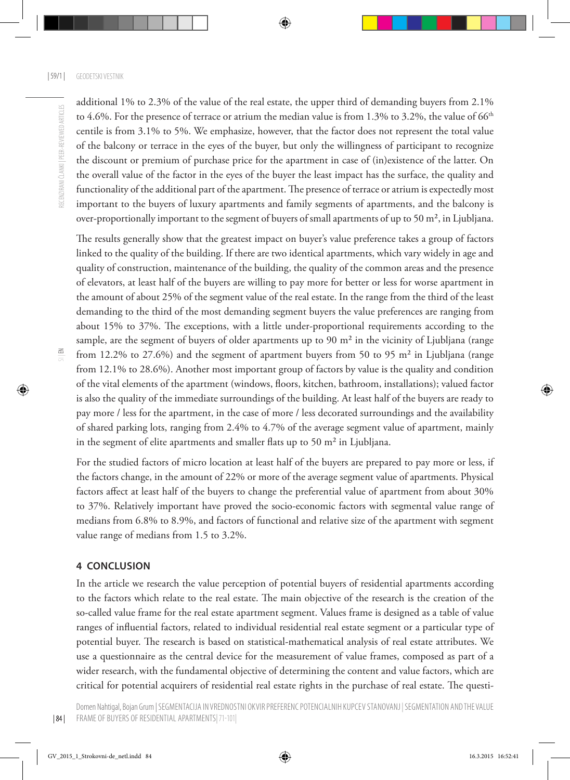additional 1% to 2.3% of the value of the real estate, the upper third of demanding buyers from 2.1% to 4.6%. For the presence of terrace or atrium the median value is from 1.3% to 3.2%, the value of 66<sup>th</sup> centile is from 3.1% to 5%. We emphasize, however, that the factor does not represent the total value of the balcony or terrace in the eyes of the buyer, but only the willingness of participant to recognize the discount or premium of purchase price for the apartment in case of (in)existence of the latter. On the overall value of the factor in the eyes of the buyer the least impact has the surface, the quality and functionality of the additional part of the apartment. The presence of terrace or atrium is expectedly most important to the buyers of luxury apartments and family segments of apartments, and the balcony is over-proportionally important to the segment of buyers of small apartments of up to 50 m<sup>2</sup>, in Ljubljana.

The results generally show that the greatest impact on buyer's value preference takes a group of factors linked to the quality of the building. If there are two identical apartments, which vary widely in age and quality of construction, maintenance of the building, the quality of the common areas and the presence of elevators, at least half of the buyers are willing to pay more for better or less for worse apartment in the amount of about 25% of the segment value of the real estate. In the range from the third of the least demanding to the third of the most demanding segment buyers the value preferences are ranging from about 15% to 37%. The exceptions, with a little under-proportional requirements according to the sample, are the segment of buyers of older apartments up to 90 m<sup>2</sup> in the vicinity of Ljubljana (range from 12.2% to 27.6%) and the segment of apartment buyers from 50 to 95 m² in Ljubljana (range from 12.1% to 28.6%). Another most important group of factors by value is the quality and condition of the vital elements of the apartment (windows, floors, kitchen, bathroom, installations); valued factor is also the quality of the immediate surroundings of the building. At least half of the buyers are ready to pay more / less for the apartment, in the case of more / less decorated surroundings and the availability of shared parking lots, ranging from 2.4% to 4.7% of the average segment value of apartment, mainly in the segment of elite apartments and smaller flats up to 50 m<sup>2</sup> in Ljubljana.

For the studied factors of micro location at least half of the buyers are prepared to pay more or less, if the factors change, in the amount of 22% or more of the average segment value of apartments. Physical factors affect at least half of the buyers to change the preferential value of apartment from about 30% to 37%. Relatively important have proved the socio-economic factors with segmental value range of medians from 6.8% to 8.9%, and factors of functional and relative size of the apartment with segment value range of medians from 1.5 to 3.2%.

#### **4 CONCLUSION**

In the article we research the value perception of potential buyers of residential apartments according to the factors which relate to the real estate. The main objective of the research is the creation of the so-called value frame for the real estate apartment segment. Values frame is designed as a table of value ranges of influential factors, related to individual residential real estate segment or a particular type of potential buyer. The research is based on statistical-mathematical analysis of real estate attributes. We use a questionnaire as the central device for the measurement of value frames, composed as part of a wider research, with the fundamental objective of determining the content and value factors, which are critical for potential acquirers of residential real estate rights in the purchase of real estate. The questi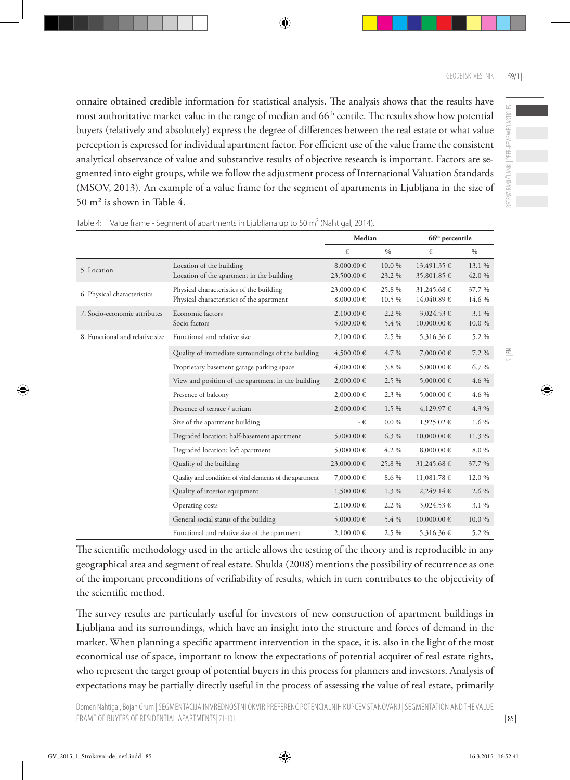onnaire obtained credible information for statistical analysis. The analysis shows that the results have most authoritative market value in the range of median and  $66<sup>th</sup>$  centile. The results show how potential buyers (relatively and absolutely) express the degree of differences between the real estate or what value perception is expressed for individual apartment factor. For efficient use of the value frame the consistent analytical observance of value and substantive results of objective research is important. Factors are segmented into eight groups, while we follow the adjustment process of International Valuation Standards (MSOV, 2013). An example of a value frame for the segment of apartments in Ljubljana in the size of 50 m² is shown in Table 4.

|                                 |                                                                                       | Median                    |                 | $66th$ percentile          |                  |
|---------------------------------|---------------------------------------------------------------------------------------|---------------------------|-----------------|----------------------------|------------------|
|                                 |                                                                                       | €                         | $\frac{0}{0}$   | €                          | $\%$             |
| 5. Location                     | Location of the building<br>Location of the apartment in the building                 | 8,000.00 €<br>23,500.00 € | 10.0%<br>23.2 % | 13,491.35 €<br>35,801.85 € | 13.1 %<br>42.0 % |
| 6. Physical characteristics     | Physical characteristics of the building<br>Physical characteristics of the apartment | 23,000.00 €<br>8,000.00 € | 25.8%<br>10.5 % | 31,245.68 €<br>14,040.89 € | 37.7%<br>14.6 %  |
| 7. Socio-economic attributes    | Economic factors<br>Socio factors                                                     | 2,100.00 €<br>5,000.00 €  | 2.2 %<br>5.4 %  | 3,024.53 €<br>10,000.00 €  | 3.1 %<br>10.0%   |
| 8. Functional and relative size | Functional and relative size                                                          | 2,100.00 €                | 2.5 %           | 5,316.36 €                 | 5.2 %            |
|                                 | Quality of immediate surroundings of the building                                     | 4,500.00 €                | 4.7 %           | 7,000.00 €                 | 7.2 %            |
|                                 | Proprietary basement garage parking space                                             | $4,000.00 \in$            | 3.8%            | 5,000.00 €                 | 6.7%             |
|                                 | View and position of the apartment in the building                                    | $2,000.00 \in$            | $2.5\%$         | 5,000.00 €                 | 4.6 %            |
|                                 | Presence of balcony                                                                   | 2,000.00 €                | 2.3 %           | 5,000.00 €                 | 4.6 %            |
|                                 | Presence of terrace / atrium                                                          | $2,000.00 \in$            | 1.5 %           | 4,129.97 €                 | 4.3 %            |
|                                 | Size of the apartment building                                                        | - €                       | $0.0\%$         | 1,925.02 €                 | 1.6 %            |
|                                 | Degraded location: half-basement apartment                                            | 5,000.00 €                | 6.3 %           | $10,000.00 \in$            | 11.3 %           |
|                                 | Degraded location: loft apartment                                                     | 5,000.00 €                | 4.2 %           | 8,000.00 €                 | 8.0%             |
|                                 | Quality of the building                                                               | 23,000.00 €               | 25.8%           | 31,245.68 €                | 37.7 %           |
|                                 | Quality and condition of vital elements of the apartment                              | 7,000.00 €                | 8.6 %           | 11,081.78 €                | 12.0 %           |
|                                 | Quality of interior equipment                                                         | 1,500.00 €                | 1.3 %           | 2,249.14€                  | 2.6 %            |
|                                 | Operating costs                                                                       | 2,100.00 €                | 2.2 %           | 3,024.53 €                 | 3.1 %            |
|                                 | General social status of the building                                                 | 5,000.00 €                | 5.4 %           | $10,000.00 \in$            | 10.0%            |
|                                 | Functional and relative size of the apartment                                         | 2,100.00 €                | 2.5 %           | 5,316.36 €                 | 5.2 %            |

Table 4: Value frame - Segment of apartments in Ljubljana up to 50 m<sup>2</sup> (Nahtigal, 2014).

The scientific methodology used in the article allows the testing of the theory and is reproducible in any geographical area and segment of real estate. Shukla (2008) mentions the possibility of recurrence as one of the important preconditions of verifiability of results, which in turn contributes to the objectivity of the scientific method.

The survey results are particularly useful for investors of new construction of apartment buildings in Ljubljana and its surroundings, which have an insight into the structure and forces of demand in the market. When planning a specific apartment intervention in the space, it is, also in the light of the most economical use of space, important to know the expectations of potential acquirer of real estate rights, who represent the target group of potential buyers in this process for planners and investors. Analysis of expectations may be partially directly useful in the process of assessing the value of real estate, primarily

| 85 |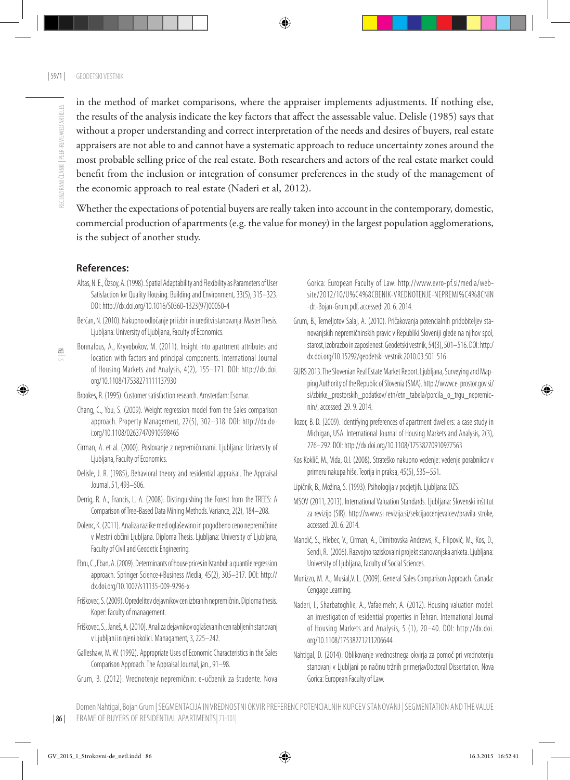in the method of market comparisons, where the appraiser implements adjustments. If nothing else, the results of the analysis indicate the key factors that affect the assessable value. Delisle (1985) says that without a proper understanding and correct interpretation of the needs and desires of buyers, real estate appraisers are not able to and cannot have a systematic approach to reduce uncertainty zones around the most probable selling price of the real estate. Both researchers and actors of the real estate market could benefit from the inclusion or integration of consumer preferences in the study of the management of the economic approach to real estate (Naderi et al, 2012).

Whether the expectations of potential buyers are really taken into account in the contemporary, domestic, commercial production of apartments (e.g. the value for money) in the largest population agglomerations, is the subject of another study.

#### **References:**

- Altas, N. E., Özsoy, A. (1998). Spatial Adaptability and Flexibility as Parameters of User Satisfaction for Quality Housing. Building and Environment, 33(5), 315–323. DOI: [http://dx.doi.org/10.1016/S0360-1323\(97\)00050-4](http://dx.doi.org/10.1016/S0360-1323(97)00050-4
)
- Berčan, N. (2010). Nakupno odločanje pri izbiri in ureditvi stanovanja. Master Thesis. Ljubljana: University of Ljubljana, Faculty of Economics.
- Bonnafous, A., Kryvobokov, M. (2011). Insight into apartment attributes and location with factors and principal components. International Journal of Housing Markets and Analysis, 4(2), 155–171. DOI: [http://dx.doi.](http://dx.doi.org/10.1108/17538271111137930
) [org/10.1108/17538271111137930](http://dx.doi.org/10.1108/17538271111137930
)
- Brookes, R. (1995). Customer satisfaction research. Amsterdam: Esomar.
- Chang, C., You, S. (2009). Weight regression model from the Sales comparison approach. Property Management, 27(5), 302–318. DOI: [http://dx.do](http://dx.doi:org/10.1108/02637470910998465
)[i:org/10.1108/02637470910998465](http://dx.doi:org/10.1108/02637470910998465
)
- Cirman, A. et al. (2000). Poslovanje z nepremičninami. Ljubljana: University of Ljubljana, Faculty of Economics.
- Delisle, J. R. (1985), Behavioral theory and residential appraisal. The Appraisal Journal, 51, 493–506.
- Derrig, R. A., Francis, L. A. (2008). Distinguishing the Forest from the TREES: A Comparison of Tree-Based Data Mining Methods. Variance, 2(2), 184–208.
- Dolenc, K. (2011). Analiza razlike med oglaševano in pogodbeno ceno nepremičnine v Mestni občini Ljubljana. Diploma Thesis. Ljubljana: University of Ljubljana, Faculty of Civil and Geodetic Engineering.
- Ebru, C., Eban, A. (2009). Determinants of house prices in Istanbul: a quantile regression approach. Springer Science+Business Media, 45(2), 305–317. DOI: [http://](http://dx.doi.org/10.1007/s11135-009-9296-x
) [dx.doi.org/10.1007/s11135-009-9296-x](http://dx.doi.org/10.1007/s11135-009-9296-x
)
- Friškovec, S. (2009). Opredelitev dejavnikov cen izbranih nepremičnin. Diploma thesis. Koper: Faculty of management.
- Friškovec, S., Janeš, A. (2010). Analiza dejavnikov oglaševanih cen rabljenih stanovanj v Ljubljani in njeni okolici. Managament, 3, 225–242.
- Galleshaw, M. W. (1992). Appropriate Uses of Economic Characteristics in the Sales Comparison Approach. The Appraisal Journal, jan., 91–98.
- Grum, B. (2012). Vrednotenje nepremičnin: e-učbenik za študente. Nova

Gorica: European Faculty of Law. [http://www.evro-pf.si/media/web](http://www.evro-pf.si/media/website/2012/10/U%C4%8CBENIK-VREDNOTENJE-NEPREMI%C4%8CNIN-dr.-Bojan-Grum.pdf)[site/2012/10/U%C4%8CBENIK-VREDNOTENJE-NEPREMI%C4%8CNIN](http://www.evro-pf.si/media/website/2012/10/U%C4%8CBENIK-VREDNOTENJE-NEPREMI%C4%8CNIN-dr.-Bojan-Grum.pdf) [-dr.-Bojan-Grum.pdf,](http://www.evro-pf.si/media/website/2012/10/U%C4%8CBENIK-VREDNOTENJE-NEPREMI%C4%8CNIN-dr.-Bojan-Grum.pdf) accessed: 20. 6. 2014.

- Grum, B., Temeljotov Salaj, A. (2010). Pričakovanja potencialnih pridobiteljev stanovanjskih nepremičninskih pravic v Republiki Sloveniji glede na njihov spol, starost, izobrazbo in zaposlenost. Geodetski vestnik, 54(3), 501–516. DOI: [http:/](http:/dx.doi.org/10.15292/geodetski-vestnik.2010.03.501-516) [dx.doi.org/10.15292/geodetski-vestnik.2010.03.501-516](http:/dx.doi.org/10.15292/geodetski-vestnik.2010.03.501-516)
- GURS 2013. The Slovenian Real Estate Market Report. Ljubljana, Surveying and Mapping Authority of the Republic of Slovenia (SMA). [http://www.e-prostor.gov.si/](http://www.e-prostor.gov.si/si/zbirke_prostorskih_podatkov/) [si/zbirke\\_prostorskih\\_podatkov/](http://www.e-prostor.gov.si/si/zbirke_prostorskih_podatkov/) etn/etn\_tabela/porcila\_o\_trqu\_nepremicnin/, accessed: 29. 9. 2014.
- Ilozor, B. D. (2009). Identifying preferences of apartment dwellers: a case study in Michigan, USA. International Journal of Housing Markets and Analysis, 2(3), 276–292. DOI:<http://dx.doi.org/10.1108/17538270910977563>
- Kos Koklič, M., Vida, O.I. (2008). Strateško nakupno vedenje: vedenje porabnikov v primeru nakupa hiše. Teorija in praksa, 45(5), 535–551.
- Lipičnik, B., Možina, S. (1993). Psihologija v podjetjih. Ljubljana: DZS.
- MSOV (2011, 2013). International Valuation Standards. Ljubljana: Slovenski inštitut za revizijo (SIR). [http://www.si-revizija.si/sekcijaocenjevalcev/pravila-stroke,](http://www.si-revizija.si/sekcijaocenjevalcev/pravila-stroke, ) accessed: 20. 6. 2014.
- Mandič, S., Hlebec, V., Cirman, A., Dimitrovska Andrews, K., Filipovič, M., Kos, D., Sendi, R. (2006). Razvojno raziskovalni projekt stanovanjska anketa. Ljubljana: University of Ljubljana, Faculty of Social Sciences.
- Munizzo, M. A., Musial,V. L. (2009). General Sales Comparison Approach. Canada: Cengage Learning.
- Naderi, I., Sharbatoghlie, A., Vafaeimehr, A. (2012). Housing valuation model: an investigation of residential properties in Tehran. International Journal of Housing Markets and Analysis, 5 (1), 20–40. DOI: [http://dx.doi.](http://dx.doi.org/10.1108/17538271211206644) [org/10.1108/17538271211206644](http://dx.doi.org/10.1108/17538271211206644)
- Nahtigal, D. (2014). Oblikovanje vrednostnega okvirja za pomoč pri vrednotenju stanovanj v Ljubljani po načinu tržnih primerjavDoctoral Dissertation. Nova Gorica: European Faculty of Law.

 $\leq$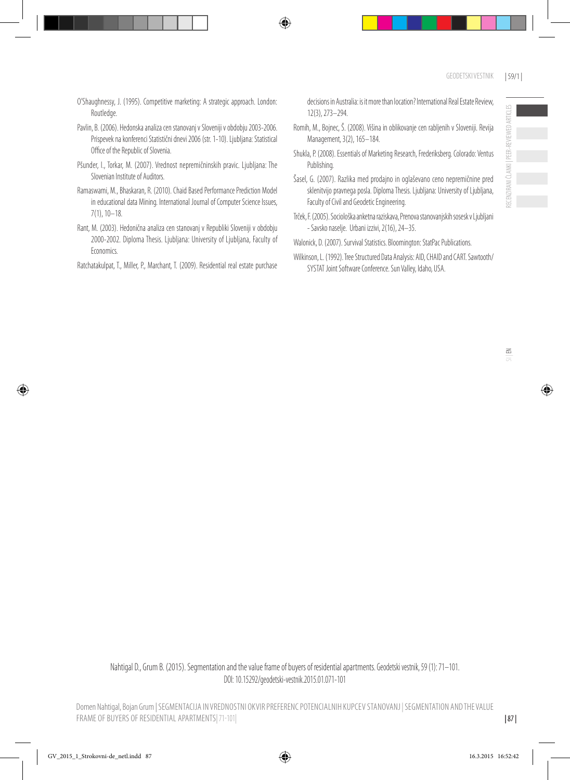- O'Shaughnessy, J. (1995). Competitive marketing: A strategic approach. London: Routledge.
- Pavlin, B. (2006). Hedonska analiza cen stanovanj v Sloveniji v obdobju 2003-2006. Prispevek na konferenci Statistični dnevi 2006 (str. 1-10). Ljubljana: Statistical Office of the Republic of Slovenia.
- Pšunder, I., Torkar, M. (2007). Vrednost nepremičninskih pravic. Ljubljana: The Slovenian Institute of Auditors.
- Ramaswami, M., Bhaskaran, R. (2010). Chaid Based Performance Prediction Model in educational data Mining. International Journal of Computer Science Issues, 7(1), 10–18.
- Rant, M. (2003). Hedonična analiza cen stanovanj v Republiki Sloveniji v obdobju 2000-2002. Diploma Thesis. Liubliana: University of Liubliana, Faculty of Economics.

Ratchatakulpat, T., Miller, P., Marchant, T. (2009). Residential real estate purchase

decisions in Australia: is it more than location? International Real Estate Review, 12(3), 273–294.

- Romih, M., Bojnec, Š. (2008). Višina in oblikovanje cen rabljenih v Sloveniji. Revija Management, 3(2), 165–184.
- Shukla, P. (2008). Essentials of Marketing Research, Frederiksberg. Colorado: Ventus Publishing.
- Šasel, G. (2007). Razlika med prodajno in oglaševano ceno nepremičnine pred sklenitvijo pravnega posla. Diploma Thesis. Ljubljana: University of Ljubljana, Faculty of Civil and Geodetic Engineering.
- Trček, F. (2005). Sociološka anketna raziskava, Prenova stanovanjskih sosesk v Ljubljani - Savsko naselje. Urbani izzivi, 2(16), 24–35.
- Walonick, D. (2007). Survival Statistics. Bloomington: StatPac Publications.
- Wilkinson, L. (1992). Tree Structured Data Analysis: AID, CHAID and CART. Sawtooth/ SYSTAT Joint Software Conference. Sun Valley, Idaho, USA.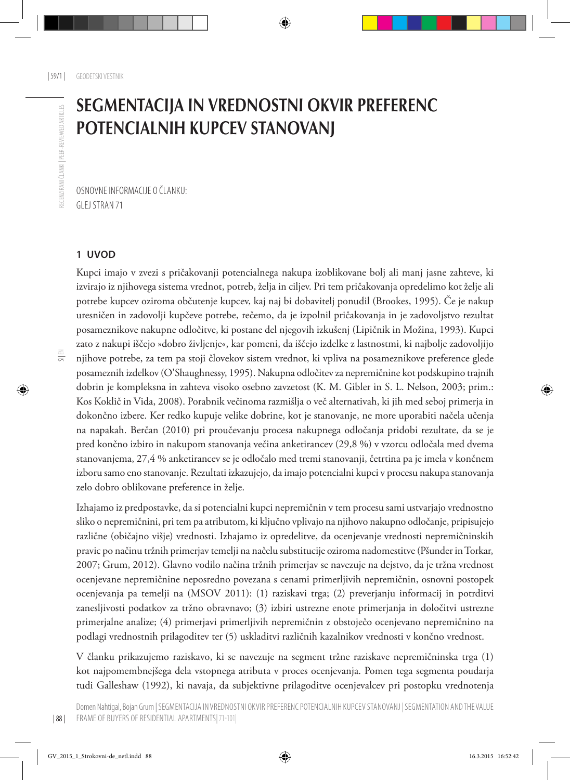# SEGMENTACIJA IN VREDNOSTNI OKVIR PREFERENC POTENCIALNIH KUPCEV STANOVANJ

Osnovne informacije o članku: Glej stran 71

#### **1 UVOD**

Kupci imajo v zvezi s pričakovanji potencialnega nakupa izoblikovane bolj ali manj jasne zahteve, ki izvirajo iz njihovega sistema vrednot, potreb, želja in ciljev. Pri tem pričakovanja opredelimo kot želje ali potrebe kupcev oziroma občutenje kupcev, kaj naj bi dobavitelj ponudil (Brookes, 1995). Če je nakup uresničen in zadovolji kupčeve potrebe, rečemo, da je izpolnil pričakovanja in je zadovoljstvo rezultat posameznikove nakupne odločitve, ki postane del njegovih izkušenj (Lipičnik in Možina, 1993). Kupci zato z nakupi iščejo »dobro življenje«, kar pomeni, da iščejo izdelke z lastnostmi, ki najbolje zadovoljijo njihove potrebe, za tem pa stoji človekov sistem vrednot, ki vpliva na posameznikove preference glede posameznih izdelkov (O'Shaughnessy, 1995). Nakupna odločitev za nepremičnine kot podskupino trajnih dobrin je kompleksna in zahteva visoko osebno zavzetost (K. M. Gibler in S. L. Nelson, 2003; prim.: Kos Koklič in Vida, 2008). Porabnik večinoma razmišlja o več alternativah, ki jih med seboj primerja in dokončno izbere. Ker redko kupuje velike dobrine, kot je stanovanje, ne more uporabiti načela učenja na napakah. Berčan (2010) pri proučevanju procesa nakupnega odločanja pridobi rezultate, da se je pred končno izbiro in nakupom stanovanja večina anketirancev (29,8 %) v vzorcu odločala med dvema stanovanjema, 27,4 % anketirancev se je odločalo med tremi stanovanji, četrtina pa je imela v končnem izboru samo eno stanovanje. Rezultati izkazujejo, da imajo potencialni kupci v procesu nakupa stanovanja zelo dobro oblikovane preference in želje.

Izhajamo iz predpostavke, da si potencialni kupci nepremičnin v tem procesu sami ustvarjajo vrednostno sliko o nepremičnini, pri tem pa atributom, ki ključno vplivajo na njihovo nakupno odločanje, pripisujejo različne (običajno višje) vrednosti. Izhajamo iz opredelitve, da ocenjevanje vrednosti nepremičninskih pravic po načinu tržnih primerjav temelji na načelu substitucije oziroma nadomestitve (Pšunder in Torkar, 2007; Grum, 2012). Glavno vodilo načina tržnih primerjav se navezuje na dejstvo, da je tržna vrednost ocenjevane nepremičnine neposredno povezana s cenami primerljivih nepremičnin, osnovni postopek ocenjevanja pa temelji na (MSOV 2011): (1) raziskavi trga; (2) preverjanju informacij in potrditvi zanesljivosti podatkov za tržno obravnavo; (3) izbiri ustrezne enote primerjanja in določitvi ustrezne primerjalne analize; (4) primerjavi primerljivih nepremičnin z obstoječo ocenjevano nepremičnino na podlagi vrednostnih prilagoditev ter (5) uskladitvi različnih kazalnikov vrednosti v končno vrednost.

V članku prikazujemo raziskavo, ki se navezuje na segment tržne raziskave nepremičninska trga (1) kot najpomembnejšega dela vstopnega atributa v proces ocenjevanja. Pomen tega segmenta poudarja tudi Galleshaw (1992), ki navaja, da subjektivne prilagoditve ocenjevalcev pri postopku vrednotenja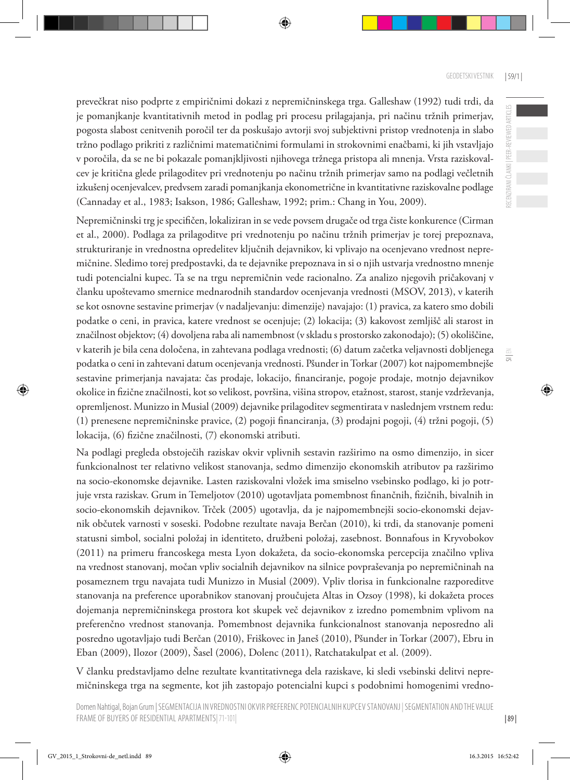RECENZIRANI ČLANKI | PEER-REVIEWED ARTICLES

SI | EN

prevečkrat niso podprte z empiričnimi dokazi z nepremičninskega trga. Galleshaw (1992) tudi trdi, da je pomanjkanje kvantitativnih metod in podlag pri procesu prilagajanja, pri načinu tržnih primerjav, pogosta slabost cenitvenih poročil ter da poskušajo avtorji svoj subjektivni pristop vrednotenja in slabo tržno podlago prikriti z različnimi matematičnimi formulami in strokovnimi enačbami, ki jih vstavljajo v poročila, da se ne bi pokazale pomanjkljivosti njihovega tržnega pristopa ali mnenja. Vrsta raziskovalcev je kritična glede prilagoditev pri vrednotenju po načinu tržnih primerjav samo na podlagi večletnih izkušenj ocenjevalcev, predvsem zaradi pomanjkanja ekonometrične in kvantitativne raziskovalne podlage (Cannaday et al., 1983; Isakson, 1986; Galleshaw, 1992; prim.: Chang in You, 2009).

Nepremičninski trg je specifičen, lokaliziran in se vede povsem drugače od trga čiste konkurence (Cirman et al., 2000). Podlaga za prilagoditve pri vrednotenju po načinu tržnih primerjav je torej prepoznava, strukturiranje in vrednostna opredelitev ključnih dejavnikov, ki vplivajo na ocenjevano vrednost nepremičnine. Sledimo torej predpostavki, da te dejavnike prepoznava in si o njih ustvarja vrednostno mnenje tudi potencialni kupec. Ta se na trgu nepremičnin vede racionalno. Za analizo njegovih pričakovanj v članku upoštevamo smernice mednarodnih standardov ocenjevanja vrednosti (MSOV, 2013), v katerih se kot osnovne sestavine primerjav (v nadaljevanju: dimenzije) navajajo: (1) pravica, za katero smo dobili podatke o ceni, in pravica, katere vrednost se ocenjuje; (2) lokacija; (3) kakovost zemljišč ali starost in značilnost objektov; (4) dovoljena raba ali namembnost (v skladu s prostorsko zakonodajo); (5) okoliščine, v katerih je bila cena določena, in zahtevana podlaga vrednosti; (6) datum začetka veljavnosti dobljenega podatka o ceni in zahtevani datum ocenjevanja vrednosti. Pšunder in Torkar (2007) kot najpomembnejše sestavine primerjanja navajata: čas prodaje, lokacijo, financiranje, pogoje prodaje, motnjo dejavnikov okolice in fizične značilnosti, kot so velikost, površina, višina stropov, etažnost, starost, stanje vzdrževanja, opremljenost. Munizzo in Musial (2009) dejavnike prilagoditev segmentirata v naslednjem vrstnem redu: (1) prenesene nepremičninske pravice, (2) pogoji financiranja, (3) prodajni pogoji, (4) tržni pogoji, (5) lokacija, (6) fizične značilnosti, (7) ekonomski atributi.

Na podlagi pregleda obstoječih raziskav okvir vplivnih sestavin razširimo na osmo dimenzijo, in sicer funkcionalnost ter relativno velikost stanovanja, sedmo dimenzijo ekonomskih atributov pa razširimo na socio-ekonomske dejavnike. Lasten raziskovalni vložek ima smiselno vsebinsko podlago, ki jo potrjuje vrsta raziskav. Grum in Temeljotov (2010) ugotavljata pomembnost finančnih, fizičnih, bivalnih in socio-ekonomskih dejavnikov. Trček (2005) ugotavlja, da je najpomembnejši socio-ekonomski dejavnik občutek varnosti v soseski. Podobne rezultate navaja Berčan (2010), ki trdi, da stanovanje pomeni statusni simbol, socialni položaj in identiteto, družbeni položaj, zasebnost. Bonnafous in Kryvobokov (2011) na primeru francoskega mesta Lyon dokažeta, da socio-ekonomska percepcija značilno vpliva na vrednost stanovanj, močan vpliv socialnih dejavnikov na silnice povpraševanja po nepremičninah na posameznem trgu navajata tudi Munizzo in Musial (2009). Vpliv tlorisa in funkcionalne razporeditve stanovanja na preference uporabnikov stanovanj proučujeta Altas in Ozsoy (1998), ki dokažeta proces dojemanja nepremičninskega prostora kot skupek več dejavnikov z izredno pomembnim vplivom na preferenčno vrednost stanovanja. Pomembnost dejavnika funkcionalnost stanovanja neposredno ali posredno ugotavljajo tudi Berčan (2010), Friškovec in Janeš (2010), Pšunder in Torkar (2007), Ebru in Eban (2009), Ilozor (2009), Šasel (2006), Dolenc (2011), Ratchatakulpat et al. (2009).

V članku predstavljamo delne rezultate kvantitativnega dela raziskave, ki sledi vsebinski delitvi nepremičninskega trga na segmente, kot jih zastopajo potencialni kupci s podobnimi homogenimi vredno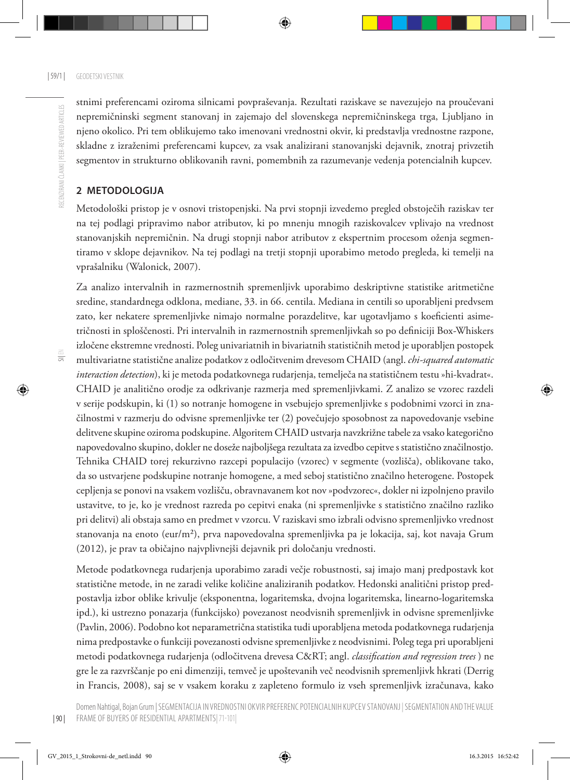stnimi preferencami oziroma silnicami povpraševanja. Rezultati raziskave se navezujejo na proučevani nepremičninski segment stanovanj in zajemajo del slovenskega nepremičninskega trga, Ljubljano in njeno okolico. Pri tem oblikujemo tako imenovani vrednostni okvir, ki predstavlja vrednostne razpone, skladne z izraženimi preferencami kupcev, za vsak analizirani stanovanjski dejavnik, znotraj privzetih segmentov in strukturno oblikovanih ravni, pomembnih za razumevanje vedenja potencialnih kupcev.

#### **2 METODOLO GIJA**

Metodološki pristop je v osnovi tristopenjski. Na prvi stopnji izvedemo pregled obstoječih raziskav ter na tej podlagi pripravimo nabor atributov, ki po mnenju mnogih raziskovalcev vplivajo na vrednost stanovanjskih nepremičnin. Na drugi stopnji nabor atributov z ekspertnim procesom oženja segmentiramo v sklope dejavnikov. Na tej podlagi na tretji stopnji uporabimo metodo pregleda, ki temelji na vprašalniku (Walonick, 2007).

Za analizo intervalnih in razmernostnih spremenljivk uporabimo deskriptivne statistike aritmetične sredine, standardnega odklona, mediane, 33. in 66. centila. Mediana in centili so uporabljeni predvsem zato, ker nekatere spremenljivke nimajo normalne porazdelitve, kar ugotavljamo s koeficienti asimetričnosti in sploščenosti. Pri intervalnih in razmernostnih spremenljivkah so po definiciji Box-Whiskers izločene ekstremne vrednosti. Poleg univariatnih in bivariatnih statističnih metod je uporabljen postopek multivariatne statistične analize podatkov z odločitvenim drevesom CHAID (angl. *chi-squared automatic interaction detection*), ki je metoda podatkovnega rudarjenja, temelječa na statističnem testu »hi-kvadrat«. CHAID je analitično orodje za odkrivanje razmerja med spremenljivkami. Z analizo se vzorec razdeli v serije podskupin, ki (1) so notranje homogene in vsebujejo spremenljivke s podobnimi vzorci in značilnostmi v razmerju do odvisne spremenljivke ter (2) povečujejo sposobnost za napovedovanje vsebine delitvene skupine oziroma podskupine. Algoritem CHAID ustvarja navzkrižne tabele za vsako kategorično napovedovalno skupino, dokler ne doseže najboljšega rezultata za izvedbo cepitve s statistično značilnostjo. Tehnika CHAID torej rekurzivno razcepi populacijo (vzorec) v segmente (vozlišča), oblikovane tako, da so ustvarjene podskupine notranje homogene, a med seboj statistično značilno heterogene. Postopek cepljenja se ponovi na vsakem vozlišču, obravnavanem kot nov »podvzorec«, dokler ni izpolnjeno pravilo ustavitve, to je, ko je vrednost razreda po cepitvi enaka (ni spremenljivke s statistično značilno razliko pri delitvi) ali obstaja samo en predmet v vzorcu. V raziskavi smo izbrali odvisno spremenljivko vrednost stanovanja na enoto (eur/m²), prva napovedovalna spremenljivka pa je lokacija, saj, kot navaja Grum (2012), je prav ta običajno najvplivnejši dejavnik pri določanju vrednosti.

Metode podatkovnega rudarjenja uporabimo zaradi večje robustnosti, saj imajo manj predpostavk kot statistične metode, in ne zaradi velike količine analiziranih podatkov. Hedonski analitični pristop predpostavlja izbor oblike krivulje (eksponentna, logaritemska, dvojna logaritemska, linearno-logaritemska ipd.), ki ustrezno ponazarja (funkcijsko) povezanost neodvisnih spremenljivk in odvisne spremenljivke (Pavlin, 2006). Podobno kot neparametrična statistika tudi uporabljena metoda podatkovnega rudarjenja nima predpostavke o funkciji povezanosti odvisne spremenljivke z neodvisnimi. Poleg tega pri uporabljeni metodi podatkovnega rudarjenja (odločitvena drevesa C&RT; angl. *classification and regression trees* ) ne gre le za razvrščanje po eni dimenziji, temveč je upoštevanih več neodvisnih spremenljivk hkrati (Derrig in Francis, 2008), saj se v vsakem koraku z zapleteno formulo iz vseh spremenljivk izračunava, kako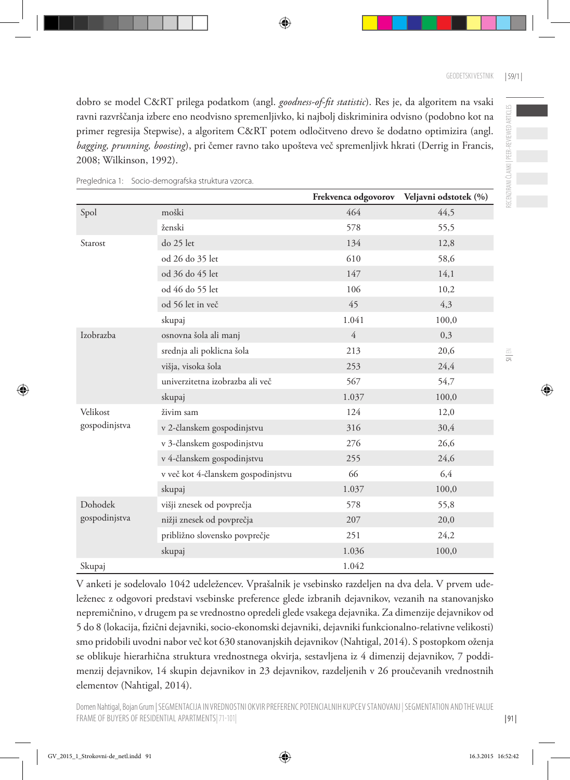RECENZIRANI ČLANKI | PEER-REVIEWED ARTICLES

dobro se model C&RT prilega podatkom (angl. *goodness-of-fit statistic*). Res je, da algoritem na vsaki ravni razvrščanja izbere eno neodvisno spremenljivko, ki najbolj diskriminira odvisno (podobno kot na primer regresija Stepwise), a algoritem C&RT potem odločitveno drevo še dodatno optimizira (angl. *bagging, prunning, boosting*), pri čemer ravno tako upošteva več spremenljivk hkrati (Derrig in Francis, 2008; Wilkinson, 1992).

|               |                                    |                | Frekvenca odgovorov Veljavni odstotek (%) |
|---------------|------------------------------------|----------------|-------------------------------------------|
| Spol          | moški                              | 464            | 44,5                                      |
|               | ženski                             | 578            | 55,5                                      |
| Starost       | do 25 let                          | 134            | 12,8                                      |
|               | od 26 do 35 let                    | 610            | 58,6                                      |
|               | od 36 do 45 let                    | 147            | 14,1                                      |
|               | od 46 do 55 let                    | 106            | 10,2                                      |
|               | od 56 let in več                   | 45             | 4,3                                       |
|               | skupaj                             | 1.041          | 100,0                                     |
| Izobrazba     | osnovna šola ali manj              | $\overline{4}$ | 0,3                                       |
|               | srednja ali poklicna šola          | 213            | 20,6                                      |
|               | višja, visoka šola                 | 253            | 24,4                                      |
|               | univerzitetna izobrazba ali več    | 567            | 54,7                                      |
|               | skupaj                             | 1.037          | 100,0                                     |
| Velikost      | živim sam                          | 124            | 12,0                                      |
| gospodinjstva | v 2-članskem gospodinjstvu         | 316            | 30,4                                      |
|               | v 3-članskem gospodinjstvu         | 276            | 26,6                                      |
|               | v 4-članskem gospodinjstvu         | 255            | 24,6                                      |
|               | v več kot 4-članskem gospodinjstvu | 66             | 6,4                                       |
|               | skupaj                             | 1.037          | 100,0                                     |
| Dohodek       | višji znesek od povprečja          | 578            | 55,8                                      |
| gospodinjstva | nižji znesek od povprečja          | 207            | 20,0                                      |
|               | približno slovensko povprečje      | 251            | 24,2                                      |
|               | skupaj                             | 1.036          | 100,0                                     |
| Skupaj        |                                    | 1.042          |                                           |

Preglednica 1: Socio-demografska struktura vzorca.

V anketi je sodelovalo 1042 udeležencev. Vprašalnik je vsebinsko razdeljen na dva dela. V prvem udeleženec z odgovori predstavi vsebinske preference glede izbranih dejavnikov, vezanih na stanovanjsko nepremičnino, v drugem pa se vrednostno opredeli glede vsakega dejavnika. Za dimenzije dejavnikov od 5 do 8 (lokacija, fizični dejavniki, socio-ekonomski dejavniki, dejavniki funkcionalno-relativne velikosti) smo pridobili uvodni nabor več kot 630 stanovanjskih dejavnikov (Nahtigal, 2014). S postopkom oženja se oblikuje hierarhična struktura vrednostnega okvirja, sestavljena iz 4 dimenzij dejavnikov, 7 poddimenzij dejavnikov, 14 skupin dejavnikov in 23 dejavnikov, razdeljenih v 26 proučevanih vrednostnih elementov (Nahtigal, 2014).

 $\equiv$ 

| 91 |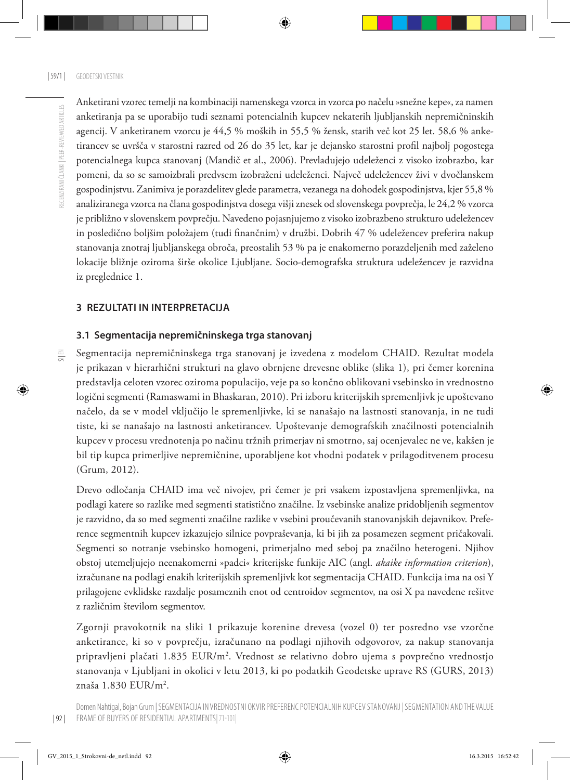SI| EN

Anketirani vzorec temelji na kombinaciji namenskega vzorca in vzorca po načelu »snežne kepe«, za namen anketiranja pa se uporabijo tudi seznami potencialnih kupcev nekaterih ljubljanskih nepremičninskih agencij. V anketiranem vzorcu je 44,5 % moških in 55,5 % žensk, starih več kot 25 let. 58,6 % anketirancev se uvršča v starostni razred od 26 do 35 let, kar je dejansko starostni profil najbolj pogostega potencialnega kupca stanovanj (Mandič et al., 2006). Prevladujejo udeleženci z visoko izobrazbo, kar pomeni, da so se samoizbrali predvsem izobraženi udeleženci. Največ udeležencev živi v dvočlanskem gospodinjstvu. Zanimiva je porazdelitev glede parametra, vezanega na dohodek gospodinjstva, kjer 55,8 % analiziranega vzorca na člana gospodinjstva dosega višji znesek od slovenskega povprečja, le 24,2 % vzorca je približno v slovenskem povprečju. Navedeno pojasnjujemo z visoko izobrazbeno strukturo udeležencev in posledično boljšim položajem (tudi finančnim) v družbi. Dobrih 47 % udeležencev preferira nakup stanovanja znotraj ljubljanskega obroča, preostalih 53 % pa je enakomerno porazdeljenih med zaželeno lokacije bližnje oziroma širše okolice Ljubljane. Socio-demografska struktura udeležencev je razvidna iz preglednice 1.

#### **3 REZULTATI IN INTERPRETACIJA**

#### **3.1 Segmentacija nepremičninskega trga stanovanj**

Segmentacija nepremičninskega trga stanovanj je izvedena z modelom CHAID. Rezultat modela je prikazan v hierarhični strukturi na glavo obrnjene drevesne oblike (slika 1), pri čemer korenina predstavlja celoten vzorec oziroma populacijo, veje pa so končno oblikovani vsebinsko in vrednostno logični segmenti (Ramaswami in Bhaskaran, 2010). Pri izboru kriterijskih spremenljivk je upoštevano načelo, da se v model vključijo le spremenljivke, ki se nanašajo na lastnosti stanovanja, in ne tudi tiste, ki se nanašajo na lastnosti anketirancev. Upoštevanje demografskih značilnosti potencialnih kupcev v procesu vrednotenja po načinu tržnih primerjav ni smotrno, saj ocenjevalec ne ve, kakšen je bil tip kupca primerljive nepremičnine, uporabljene kot vhodni podatek v prilagoditvenem procesu (Grum, 2012).

Drevo odločanja CHAID ima več nivojev, pri čemer je pri vsakem izpostavljena spremenljivka, na podlagi katere so razlike med segmenti statistično značilne. Iz vsebinske analize pridobljenih segmentov je razvidno, da so med segmenti značilne razlike v vsebini proučevanih stanovanjskih dejavnikov. Preference segmentnih kupcev izkazujejo silnice povpraševanja, ki bi jih za posamezen segment pričakovali. Segmenti so notranje vsebinsko homogeni, primerjalno med seboj pa značilno heterogeni. Njihov obstoj utemeljujejo neenakomerni »padci« kriterijske funkije AIC (angl. *akaike information criterion*), izračunane na podlagi enakih kriterijskih spremenljivk kot segmentacija CHAID. Funkcija ima na osi Y prilagojene evklidske razdalje posameznih enot od centroidov segmentov, na osi X pa navedene rešitve z različnim številom segmentov.

Zgornji pravokotnik na sliki 1 prikazuje korenine drevesa (vozel 0) ter posredno vse vzorčne anketirance, ki so v povprečju, izračunano na podlagi njihovih odgovorov, za nakup stanovanja pripravljeni plačati 1.835 EUR/m<sup>2</sup>. Vrednost se relativno dobro ujema s povprečno vrednostjo stanovanja v Ljubljani in okolici v letu 2013, ki po podatkih Geodetske uprave RS (GURS, 2013) znaša 1.830 EUR/m<sup>2</sup>.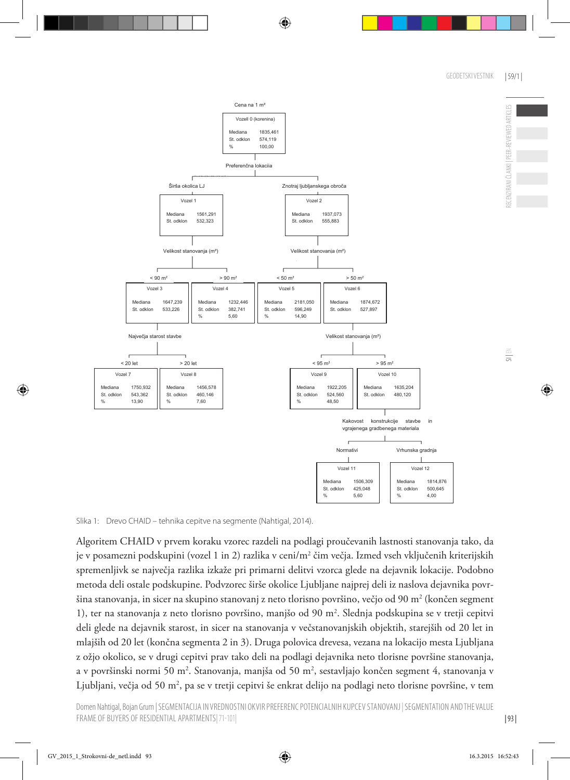RECENZIRANI ČLANKI | PEER-REVIEWED ARTICLES



Slika 1: Drevo CHAID – tehnika cepitve na segmente (Nahtigal, 2014).

Algoritem CHAID v prvem koraku vzorec razdeli na podlagi proučevanih lastnosti stanovanja tako, da je v posamezni podskupini (vozel 1 in 2) razlika v ceni/m² čim večja. Izmed vseh vključenih kriterijskih spremenljivk se največja razlika izkaže pri primarni delitvi vzorca glede na dejavnik lokacije. Podobno metoda deli ostale podskupine. Podvzorec širše okolice Ljubljane najprej deli iz naslova dejavnika površina stanovanja, in sicer na skupino stanovanj z neto tlorisno površino, večjo od 90 m² (končen segment 1), ter na stanovanja z neto tlorisno površino, manjšo od 90 m2 . Slednja podskupina se v tretji cepitvi deli glede na dejavnik starost, in sicer na stanovanja v večstanovanjskih objektih, starejših od 20 let in mlajših od 20 let (končna segmenta 2 in 3). Druga polovica drevesa, vezana na lokacijo mesta Ljubljana z ožjo okolico, se v drugi cepitvi prav tako deli na podlagi dejavnika neto tlorisne površine stanovanja, a v površinski normi 50 m2 . Stanovanja, manjša od 50 m2 , sestavljajo končen segment 4, stanovanja v Ljubljani, večja od 50 m², pa se v tretji cepitvi še enkrat delijo na podlagi neto tlorisne površine, v tem

| 93 |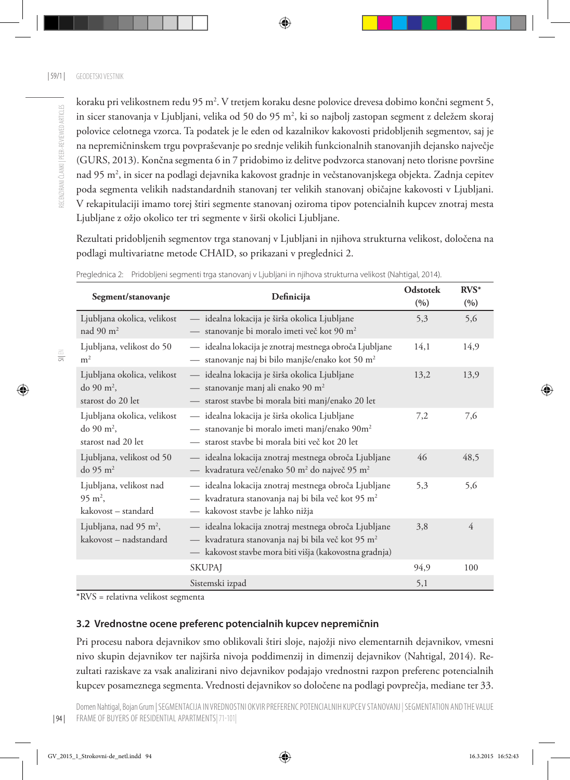koraku pri velikostnem redu 95 m². V tretjem koraku desne polovice drevesa dobimo končni segment 5, in sicer stanovanja v Ljubljani, velika od 50 do 95 m2 , ki so najbolj zastopan segment z deležem skoraj polovice celotnega vzorca. Ta podatek je le eden od kazalnikov kakovosti pridobljenih segmentov, saj je na nepremičninskem trgu povpraševanje po srednje velikih funkcionalnih stanovanjih dejansko največje (GURS, 2013). Končna segmenta 6 in 7 pridobimo iz delitve podvzorca stanovanj neto tlorisne površine nad 95 m2 , in sicer na podlagi dejavnika kakovost gradnje in večstanovanjskega objekta. Zadnja cepitev poda segmenta velikih nadstandardnih stanovanj ter velikih stanovanj običajne kakovosti v Ljubljani. V rekapitulaciji imamo torej štiri segmente stanovanj oziroma tipov potencialnih kupcev znotraj mesta Ljubljane z ožjo okolico ter tri segmente v širši okolici Ljubljane.

Rezultati pridobljenih segmentov trga stanovanj v Ljubljani in njihova strukturna velikost, določena na podlagi multivariatne metode CHAID, so prikazani v preglednici 2.

| Segment/stanovanje                                                          | Definicija                                                                                                                                                                    | <b>Odstotek</b><br>(9/0) | $RVS^*$<br>(%) |
|-----------------------------------------------------------------------------|-------------------------------------------------------------------------------------------------------------------------------------------------------------------------------|--------------------------|----------------|
| Ljubljana okolica, velikost<br>nad 90 $m2$                                  | — idealna lokacija je širša okolica Ljubljane<br>- stanovanje bi moralo imeti več kot 90 m <sup>2</sup>                                                                       | 5,3                      | 5,6            |
| Ljubljana, velikost do 50<br>m <sup>2</sup>                                 | — idealna lokacija je znotraj mestnega obroča Ljubljane<br>— stanovanje naj bi bilo manjše/enako kot 50 m <sup>2</sup>                                                        | 14,1                     | 14,9           |
| Ljubljana okolica, velikost<br>do 90 m <sup>2</sup> ,<br>starost do 20 let  | - idealna lokacija je širša okolica Ljubljane<br>- stanovanje manj ali enako 90 m <sup>2</sup><br>- starost stavbe bi morala biti manj/enako 20 let                           | 13,2                     | 13,9           |
| Ljubljana okolica, velikost<br>do 90 m <sup>2</sup> ,<br>starost nad 20 let | — idealna lokacija je širša okolica Ljubljane<br>— stanovanje bi moralo imeti manj/enako 90m <sup>2</sup><br>- starost stavbe bi morala biti več kot 20 let                   | 7,2                      | 7,6            |
| Ljubljana, velikost od 50<br>do 95 $m2$                                     | — idealna lokacija znotraj mestnega obroča Ljubljane<br>- kvadratura več/enako 50 m <sup>2</sup> do največ 95 m <sup>2</sup>                                                  | 46                       | 48,5           |
| Ljubljana, velikost nad<br>$95 \text{ m}^2$ ,<br>kakovost – standard        | - idealna lokacija znotraj mestnega obroča Ljubljane<br>— kvadratura stanovanja naj bi bila več kot 95 m <sup>2</sup><br>- kakovost stavbe je lahko nižja                     | 5,3                      | 5,6            |
| Ljubljana, nad 95 m <sup>2</sup> ,<br>kakovost – nadstandard                | - idealna lokacija znotraj mestnega obroča Ljubljane<br>- kvadratura stanovanja naj bi bila več kot 95 m <sup>2</sup><br>kakovost stavbe mora biti višja (kakovostna gradnja) | 3,8                      | 4              |
|                                                                             | <b>SKUPAJ</b>                                                                                                                                                                 | 94,9                     | 100            |
|                                                                             | Sistemski izpad                                                                                                                                                               | 5,1                      |                |

Preglednica 2: Pridobljeni segmenti trga stanovanj v Ljubljani in njihova strukturna velikost (Nahtigal, 2014).

\*RVS = relativna velikost segmenta

# **3.2 Vrednostne ocene preferenc potencialnih kupcev nepremičnin**

Pri procesu nabora dejavnikov smo oblikovali štiri sloje, najožji nivo elementarnih dejavnikov, vmesni nivo skupin dejavnikov ter najširša nivoja poddimenzij in dimenzij dejavnikov (Nahtigal, 2014). Rezultati raziskave za vsak analizirani nivo dejavnikov podajajo vrednostni razpon preferenc potencialnih kupcev posameznega segmenta. Vrednosti dejavnikov so določene na podlagi povprečja, mediane ter 33.

SI| EN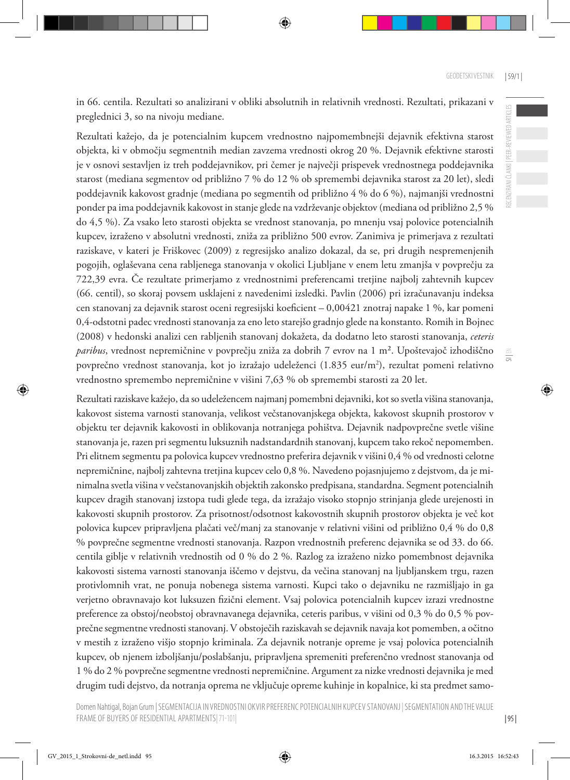in 66. centila. Rezultati so analizirani v obliki absolutnih in relativnih vrednosti. Rezultati, prikazani v preglednici 3, so na nivoju mediane.

Rezultati kažejo, da je potencialnim kupcem vrednostno najpomembnejši dejavnik efektivna starost objekta, ki v območju segmentnih median zavzema vrednosti okrog 20 %. Dejavnik efektivne starosti je v osnovi sestavljen iz treh poddejavnikov, pri čemer je največji prispevek vrednostnega poddejavnika starost (mediana segmentov od približno 7 % do 12 % ob spremembi dejavnika starost za 20 let), sledi poddejavnik kakovost gradnje (mediana po segmentih od približno 4 % do 6 %), najmanjši vrednostni ponder pa ima poddejavnik kakovost in stanje glede na vzdrževanje objektov (mediana od približno 2,5 % do 4,5 %). Za vsako leto starosti objekta se vrednost stanovanja, po mnenju vsaj polovice potencialnih kupcev, izraženo v absolutni vrednosti, zniža za približno 500 evrov. Zanimiva je primerjava z rezultati raziskave, v kateri je Friškovec (2009) z regresijsko analizo dokazal, da se, pri drugih nespremenjenih pogojih, oglaševana cena rabljenega stanovanja v okolici Ljubljane v enem letu zmanjša v povprečju za 722,39 evra. Če rezultate primerjamo z vrednostnimi preferencami tretjine najbolj zahtevnih kupcev (66. centil), so skoraj povsem usklajeni z navedenimi izsledki. Pavlin (2006) pri izračunavanju indeksa cen stanovanj za dejavnik starost oceni regresijski koeficient – 0,00421 znotraj napake 1 %, kar pomeni 0,4-odstotni padec vrednosti stanovanja za eno leto starejšo gradnjo glede na konstanto. Romih in Bojnec (2008) v hedonski analizi cen rabljenih stanovanj dokažeta, da dodatno leto starosti stanovanja, *ceteris paribus*, vrednost nepremičnine v povprečju zniža za dobrih 7 evrov na 1 m². Upoštevajoč izhodiščno povprečno vrednost stanovanja, kot jo izražajo udeleženci (1.835 eur/m²), rezultat pomeni relativno vrednostno spremembo nepremičnine v višini 7,63 % ob spremembi starosti za 20 let.

Rezultati raziskave kažejo, da so udeležencem najmanj pomembni dejavniki, kot so svetla višina stanovanja, kakovost sistema varnosti stanovanja, velikost večstanovanjskega objekta, kakovost skupnih prostorov v objektu ter dejavnik kakovosti in oblikovanja notranjega pohištva. Dejavnik nadpovprečne svetle višine stanovanja je, razen pri segmentu luksuznih nadstandardnih stanovanj, kupcem tako rekoč nepomemben. Pri elitnem segmentu pa polovica kupcev vrednostno preferira dejavnik v višini 0,4 % od vrednosti celotne nepremičnine, najbolj zahtevna tretjina kupcev celo 0,8 %. Navedeno pojasnjujemo z dejstvom, da je minimalna svetla višina v večstanovanjskih objektih zakonsko predpisana, standardna. Segment potencialnih kupcev dragih stanovanj izstopa tudi glede tega, da izražajo visoko stopnjo strinjanja glede urejenosti in kakovosti skupnih prostorov. Za prisotnost/odsotnost kakovostnih skupnih prostorov objekta je več kot polovica kupcev pripravljena plačati več/manj za stanovanje v relativni višini od približno 0,4 % do 0,8 % povprečne segmentne vrednosti stanovanja. Razpon vrednostnih preferenc dejavnika se od 33. do 66. centila giblje v relativnih vrednostih od 0 % do 2 %. Razlog za izraženo nizko pomembnost dejavnika kakovosti sistema varnosti stanovanja iščemo v dejstvu, da večina stanovanj na ljubljanskem trgu, razen protivlomnih vrat, ne ponuja nobenega sistema varnosti. Kupci tako o dejavniku ne razmišljajo in ga verjetno obravnavajo kot luksuzen fizični element. Vsaj polovica potencialnih kupcev izrazi vrednostne preference za obstoj/neobstoj obravnavanega dejavnika, ceteris paribus, v višini od 0,3 % do 0,5 % povprečne segmentne vrednosti stanovanj. V obstoječih raziskavah se dejavnik navaja kot pomemben, a očitno v mestih z izraženo višjo stopnjo kriminala. Za dejavnik notranje opreme je vsaj polovica potencialnih kupcev, ob njenem izboljšanju/poslabšanju, pripravljena spremeniti preferenčno vrednost stanovanja od 1 % do 2 % povprečne segmentne vrednosti nepremičnine. Argument za nizke vrednosti dejavnika je med drugim tudi dejstvo, da notranja oprema ne vključuje opreme kuhinje in kopalnice, ki sta predmet samo-

| 95 |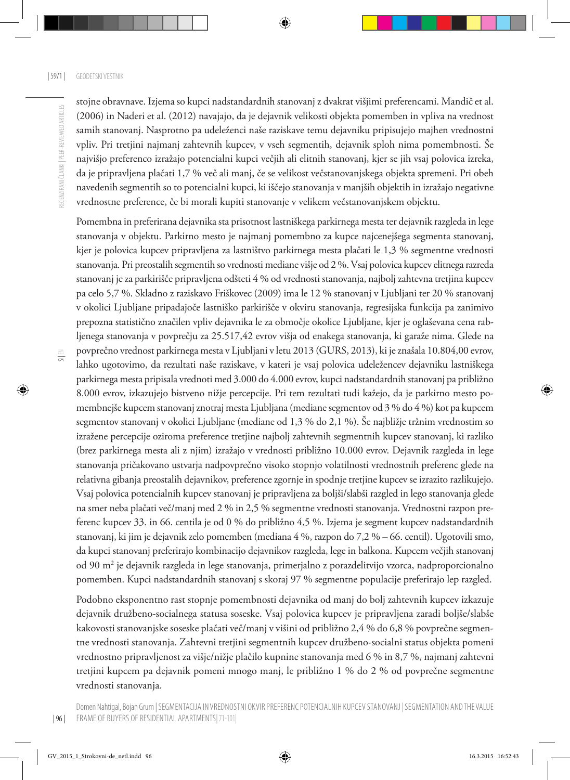$\equiv$ 

stojne obravnave. Izjema so kupci nadstandardnih stanovanj z dvakrat višjimi preferencami. Mandič et al. (2006) in Naderi et al. (2012) navajajo, da je dejavnik velikosti objekta pomemben in vpliva na vrednost samih stanovanj. Nasprotno pa udeleženci naše raziskave temu dejavniku pripisujejo majhen vrednostni vpliv. Pri tretjini najmanj zahtevnih kupcev, v vseh segmentih, dejavnik sploh nima pomembnosti. Še najvišjo preferenco izražajo potencialni kupci večjih ali elitnih stanovanj, kjer se jih vsaj polovica izreka, da je pripravljena plačati 1,7 % več ali manj, če se velikost večstanovanjskega objekta spremeni. Pri obeh navedenih segmentih so to potencialni kupci, ki iščejo stanovanja v manjših objektih in izražajo negativne vrednostne preference, če bi morali kupiti stanovanje v velikem večstanovanjskem objektu.

Pomembna in preferirana dejavnika sta prisotnost lastniškega parkirnega mesta ter dejavnik razgleda in lege stanovanja v objektu. Parkirno mesto je najmanj pomembno za kupce najcenejšega segmenta stanovanj, kjer je polovica kupcev pripravljena za lastništvo parkirnega mesta plačati le 1,3 % segmentne vrednosti stanovanja. Pri preostalih segmentih so vrednosti mediane višje od 2 %. Vsaj polovica kupcev elitnega razreda stanovanj je za parkirišče pripravljena odšteti 4 % od vrednosti stanovanja, najbolj zahtevna tretjina kupcev pa celo 5,7 %. Skladno z raziskavo Friškovec (2009) ima le 12 % stanovanj v Ljubljani ter 20 % stanovanj v okolici Ljubljane pripadajoče lastniško parkirišče v okviru stanovanja, regresijska funkcija pa zanimivo prepozna statistično značilen vpliv dejavnika le za območje okolice Ljubljane, kjer je oglaševana cena rabljenega stanovanja v povprečju za 25.517,42 evrov višja od enakega stanovanja, ki garaže nima. Glede na povprečno vrednost parkirnega mesta v Ljubljani v letu 2013 (GURS, 2013), ki je znašala 10.804,00 evrov, lahko ugotovimo, da rezultati naše raziskave, v kateri je vsaj polovica udeležencev dejavniku lastniškega parkirnega mesta pripisala vrednoti med 3.000 do 4.000 evrov, kupci nadstandardnih stanovanj pa približno 8.000 evrov, izkazujejo bistveno nižje percepcije. Pri tem rezultati tudi kažejo, da je parkirno mesto pomembnejše kupcem stanovanj znotraj mesta Ljubljana (mediane segmentov od 3 % do 4 %) kot pa kupcem segmentov stanovanj v okolici Ljubljane (mediane od 1,3 % do 2,1 %). Še najbližje tržnim vrednostim so izražene percepcije oziroma preference tretjine najbolj zahtevnih segmentnih kupcev stanovanj, ki razliko (brez parkirnega mesta ali z njim) izražajo v vrednosti približno 10.000 evrov. Dejavnik razgleda in lege stanovanja pričakovano ustvarja nadpovprečno visoko stopnjo volatilnosti vrednostnih preferenc glede na relativna gibanja preostalih dejavnikov, preference zgornje in spodnje tretjine kupcev se izrazito razlikujejo. Vsaj polovica potencialnih kupcev stanovanj je pripravljena za boljši/slabši razgled in lego stanovanja glede na smer neba plačati več/manj med 2 % in 2,5 % segmentne vrednosti stanovanja. Vrednostni razpon preferenc kupcev 33. in 66. centila je od 0 % do približno 4,5 %. Izjema je segment kupcev nadstandardnih stanovanj, ki jim je dejavnik zelo pomemben (mediana 4 %, razpon do 7,2 % – 66. centil). Ugotovili smo, da kupci stanovanj preferirajo kombinacijo dejavnikov razgleda, lege in balkona. Kupcem večjih stanovanj od 90 m2 je dejavnik razgleda in lege stanovanja, primerjalno z porazdelitvijo vzorca, nadproporcionalno pomemben. Kupci nadstandardnih stanovanj s skoraj 97 % segmentne populacije preferirajo lep razgled.

Podobno eksponentno rast stopnje pomembnosti dejavnika od manj do bolj zahtevnih kupcev izkazuje dejavnik družbeno-socialnega statusa soseske. Vsaj polovica kupcev je pripravljena zaradi boljše/slabše kakovosti stanovanjske soseske plačati več/manj v višini od približno 2,4 % do 6,8 % povprečne segmentne vrednosti stanovanja. Zahtevni tretjini segmentnih kupcev družbeno-socialni status objekta pomeni vrednostno pripravljenost za višje/nižje plačilo kupnine stanovanja med 6 % in 8,7 %, najmanj zahtevni tretjini kupcem pa dejavnik pomeni mnogo manj, le približno 1 % do 2 % od povprečne segmentne vrednosti stanovanja.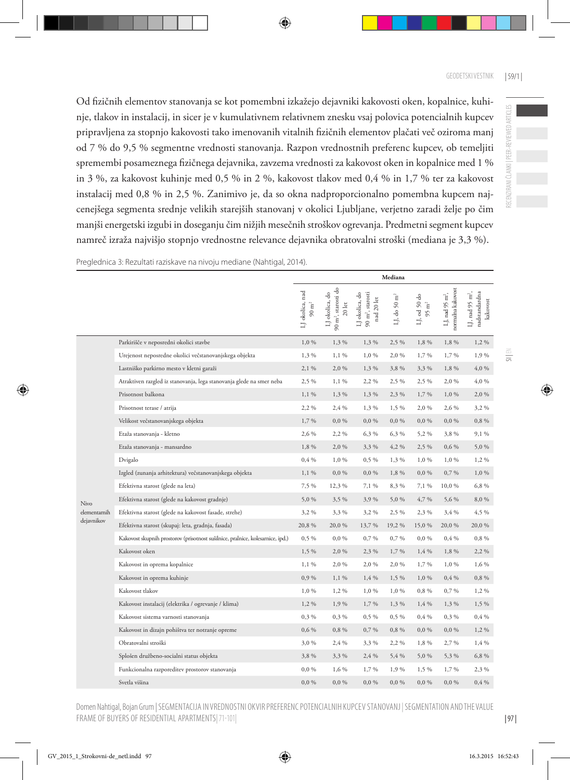Od fizičnih elementov stanovanja se kot pomembni izkažejo dejavniki kakovosti oken, kopalnice, kuhinje, tlakov in instalacij, in sicer je v kumulativnem relativnem znesku vsaj polovica potencialnih kupcev pripravljena za stopnjo kakovosti tako imenovanih vitalnih fizičnih elementov plačati več oziroma manj od 7 % do 9,5 % segmentne vrednosti stanovanja. Razpon vrednostnih preferenc kupcev, ob temeljiti spremembi posameznega fizičnega dejavnika, zavzema vrednosti za kakovost oken in kopalnice med 1 % in 3 %, za kakovost kuhinje med 0,5 % in 2 %, kakovost tlakov med 0,4 % in 1,7 % ter za kakovost instalacij med 0,8 % in 2,5 %. Zanimivo je, da so okna nadproporcionalno pomembna kupcem najcenejšega segmenta srednje velikih starejših stanovanj v okolici Ljubljane, verjetno zaradi želje po čim manjši energetski izgubi in doseganju čim nižjih mesečnih stroškov ogrevanja. Predmetni segment kupcev namreč izraža najvišjo stopnjo vrednostne relevance dejavnika obratovalni stroški (mediana je 3,3 %).

Preglednica 3: Rezultati raziskave na nivoju mediane (Nahtigal, 2014).

|              |                                                                                | Mediana                           |                                                                                        |                                                             |                 |                                |                                                  |                                                          |
|--------------|--------------------------------------------------------------------------------|-----------------------------------|----------------------------------------------------------------------------------------|-------------------------------------------------------------|-----------------|--------------------------------|--------------------------------------------------|----------------------------------------------------------|
|              |                                                                                | LJ okolica, nad<br>$90~{\rm m^2}$ | $90~\mathrm{m}^2,$ starosti do<br>LJ okolica, do<br>$20\,\ensuremath{\, \mathrm{let}}$ | $90~\mathrm{m}^2,$ starosti<br>LJ okolica, do<br>nad 20 let | F,<br>LJ, do 50 | LJ, od 50 do $95~\mathrm{m}^2$ | normalna kakovost<br>LJ, nad 95 m <sup>2</sup> , | LJ, nad 95 m <sup>2</sup> ,<br>nadstandardna<br>kakovost |
|              | Parkirišče v neposredni okolici stavbe                                         | 1,0 %                             | 1,3 %                                                                                  | 1,3 %                                                       | 2,5 %           | 1,8 %                          | 1,8 %                                            | $1,2\%$                                                  |
|              | Urejenost neposredne okolici večstanovanjskega objekta                         | 1,3 %                             | 1,1 %                                                                                  | 1,0 %                                                       | 2,0 %           | 1,7%                           | 1,7 %                                            | 1,9%                                                     |
|              | Lastniško parkirno mesto v kletni garaži                                       | 2,1 %                             | 2,0 %                                                                                  | 1,3%                                                        | 3,8%            | 3,3%                           | 1,8%                                             | 4,0 %                                                    |
|              | Atraktiven razgled iz stanovanja, lega stanovanja glede na smer neba           | 2,5 %                             | $1,1\%$                                                                                | 2,2 %                                                       | 2,5 %           | 2,5 %                          | 2,0 %                                            | 4,0 %                                                    |
|              | Prisotnost balkona                                                             | $1,1\%$                           | 1,3 %                                                                                  | 1,3%                                                        | 2,3 %           | 1,7%                           | 1,0 %                                            | 2,0 %                                                    |
|              | Prisotnost terase / atrija                                                     | 2,2%                              | 2,4 %                                                                                  | 1,3 %                                                       | 1,5 %           | 2,0%                           | 2,6 %                                            | 3,2 %                                                    |
|              | Velikost večstanovanjskega objekta                                             | 1,7%                              | $0,0\%$                                                                                | $0,0\%$                                                     | 0,0%            | $0,0\%$                        | $0,0\%$                                          | 0,8 %                                                    |
|              | Etaža stanovanja - kletno                                                      | 2,6 %                             | 2,2%                                                                                   | 6,3 %                                                       | 6,3 %           | 5,2%                           | 3,8%                                             | 9,1 %                                                    |
|              | Etaža stanovanja - mansardno                                                   | 1,8 %                             | 2,0 %                                                                                  | 3,3 %                                                       | 4,2 %           | 2,5 %                          | 0,6 %                                            | 5,0 %                                                    |
|              | Dvigalo                                                                        | 0,4%                              | 1,0 %                                                                                  | $0,5\%$                                                     | 1,3%            | 1,0%                           | 1,0 %                                            | 1,2 %                                                    |
|              | Izgled (zunanja arhitektura) večstanovanjskega objekta                         | $1,1\%$                           | $0,0\%$                                                                                | $0,0\%$                                                     | 1,8%            | 0,0,96                         | 0,7%                                             | $1,0\%$                                                  |
|              | Efektivna starost (glede na leta)                                              | 7,5 %                             | 12,3 %                                                                                 | 7,1 %                                                       | 8,3 %           | 7,1 %                          | $10,\!0$ $\%$                                    | 6,8 %                                                    |
| Nivo         | Efektivna starost (glede na kakovost gradnje)                                  | 5,0%                              | 3,5 %                                                                                  | 3,9%                                                        | 5,0%            | 4,7 %                          | 5,6 %                                            | 8,0 %                                                    |
| elementarnih | Efektivna starost (glede na kakovost fasade, strehe)                           | 3,2%                              | 3,3%                                                                                   | 3,2%                                                        | 2,5 %           | 2,3 %                          | 3,4 %                                            | 4,5 %                                                    |
| dejavnikov   | Efektivna starost (skupaj: leta, gradnja, fasada)                              | 20,8%                             | 20,0%                                                                                  | 13,7 %                                                      | 19,2 %          | 15,0%                          | 20,0%                                            | 20,0%                                                    |
|              | Kakovost skupnih prostorov (prisotnost sušilnice, pralnice, kolesarnice, ipd.) | $0,5\%$                           | $0,0\%$                                                                                | 0,7%                                                        | 0,7%            | 0,0,96                         | 0,4%                                             | 0,8%                                                     |
|              | Kakovost oken                                                                  | 1,5 %                             | 2,0%                                                                                   | 2,3 %                                                       | 1,7 %           | 1,4 %                          | 1,8 %                                            | 2,2 %                                                    |
|              | Kakovost in oprema kopalnice                                                   | $1,1\%$                           | 2,0 %                                                                                  | 2,0 %                                                       | 2,0 %           | 1,7 %                          | 1,0 %                                            | 1,6 %                                                    |
|              | Kakovost in oprema kuhinje                                                     | 0,9%                              | $1,1\%$                                                                                | 1,4%                                                        | 1,5 %           | 1,0%                           | 0,4%                                             | 0,8%                                                     |
|              | Kakovost tlakov                                                                | 1,0 %                             | 1,2%                                                                                   | 1,0%                                                        | 1,0%            | 0,8%                           | 0,7%                                             | 1,2 %                                                    |
|              | Kakovost instalacij (elektrika / ogrevanje / klima)                            | 1,2%                              | 1,9%                                                                                   | 1,7 %                                                       | 1,3%            | 1,4%                           | 1,3 %                                            | 1,5 %                                                    |
|              | Kakovost sistema varnosti stanovanja                                           | $0,3\%$                           | 0,3 %                                                                                  | $0,5\%$                                                     | 0,5 %           | 0,4%                           | $0,3\%$                                          | 0,4%                                                     |
|              | Kakovost in dizajn pohištva ter notranje opreme                                | $0,6\%$                           | 0,8 %                                                                                  | 0,7%                                                        | 0,8 %           | $0,0\%$                        | $0,0\%$                                          | $1,2\%$                                                  |
|              | Obratovalni stroški                                                            | 3,0%                              | 2,4 %                                                                                  | 3,3 %                                                       | 2,2%            | 1,8 %                          | 2,7 %                                            | 1,4 %                                                    |
|              | Splošen družbeno-socialni status objekta                                       | 3,8%                              | 3,3%                                                                                   | 2,4 %                                                       | 5,4 %           | 5,0%                           | 5,3 %                                            | 6,8 %                                                    |
|              | Funkcionalna razporeditev prostorov stanovanja                                 | $0,0\%$                           | 1,6 %                                                                                  | 1,7 %                                                       | 1,9%            | 1,5 %                          | 1,7 %                                            | 2,3 %                                                    |
|              | Svetla višina                                                                  | $0,0\%$                           | $0,0\%$                                                                                | $0,0\%$                                                     | $0,0\%$         | $0,0\%$                        | $0,0\%$                                          | 0,4%                                                     |

RECENZIRANI ČLANKI | PEER-REVIEWED ARTICLES RECENZIRANI ČLANKI | PEER-REVIEWED ARTICLES

Domen Nahtigal, Bojan Grum | SEGMENTACIJA IN VREDNOSTNI OKVIR PREFERENC POTENCIALNIH KUPCEV STANOVANJ | SEGMENTATION AND THE VALUE FRAME OF BUYERS OF RESIDENTIAL APARTMENTS|71-101|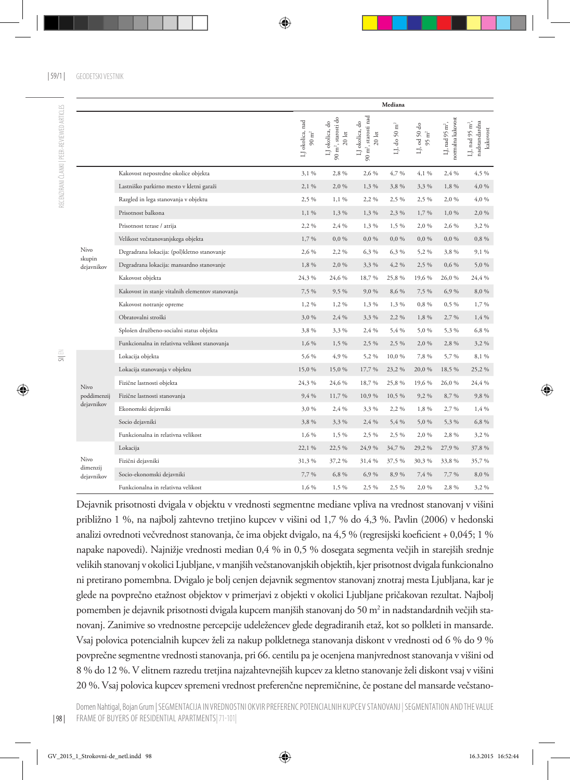RECENZIRANI ČLANKI I PEER-REVIEWED ARTICLES

|                        |                                                  |                                   |                                                                                        |                                                                                        | Mediana                  |                                             |                                                  |                                                          |
|------------------------|--------------------------------------------------|-----------------------------------|----------------------------------------------------------------------------------------|----------------------------------------------------------------------------------------|--------------------------|---------------------------------------------|--------------------------------------------------|----------------------------------------------------------|
|                        |                                                  | LJ okolica, nad<br>$90~{\rm m}^2$ | $90~\mathrm{m}^2$ , starosti do<br>LJ okolica, do<br>$20\,\ensuremath{\,\mathrm{let}}$ | $90~\mathrm{m}^2,$ starosti nad<br>LJ okolica, do<br>$20\,\ensuremath{\,\mathrm{let}}$ | LJ, do 50 m <sup>2</sup> | LJ, od 50 do<br>$\overline{\text{E}}$<br>95 | normalna kakovost<br>LJ, nad 95 m <sup>2</sup> , | LJ, nad 95 m <sup>2</sup> ,<br>nadstandardna<br>kakovost |
|                        | Kakovost neposredne okolice objekta              | 3.1%                              | 2.8%                                                                                   | 2,6 %                                                                                  | 4,7%                     | 4,1 %                                       | 2.4 %                                            | 4.5 %                                                    |
|                        | Lastniško parkirno mesto v kletni garaži         | 2,1 %                             | 2,0 %                                                                                  | 1,3%                                                                                   | 3,8%                     | 3,3%                                        | 1,8 %                                            | 4,0 %                                                    |
|                        | Razgled in lega stanovanja v objektu             | 2,5 %                             | $1,1\%$                                                                                | 2,2 %                                                                                  | 2,5 %                    | 2,5 %                                       | 2,0 %                                            | 4,0 %                                                    |
|                        | Prisotnost balkona                               | $1,1\%$                           | 1,3 %                                                                                  | 1,3 %                                                                                  | 2,3 %                    | 1,7%                                        | 1,0%                                             | 2,0 %                                                    |
|                        | Prisotnost terase / atrija                       | 2,2 %                             | 2,4 %                                                                                  | 1,3 %                                                                                  | 1,5 %                    | 2,0 %                                       | 2,6 %                                            | 3,2%                                                     |
|                        | Velikost večstanovanjskega objekta               | 1,7%                              | $0,0\%$                                                                                | 0,0,96                                                                                 | $0,0\%$                  | $0,0\%$                                     | $0,0\%$                                          | 0,8%                                                     |
| Nivo                   | Degradrana lokacija: (pol)kletno stanovanje      | 2,6 %                             | 2,2%                                                                                   | 6,3 %                                                                                  | 6,3 %                    | 5,2 %                                       | 3,8%                                             | 9,1 %                                                    |
| skupin<br>dejavnikov   | Degradrana lokacija: mansardno stanovanje        | 1,8 %                             | 2,0 %                                                                                  | 3,3 %                                                                                  | 4,2 %                    | 2,5 %                                       | 0,6 %                                            | 5,0%                                                     |
|                        | Kakovost objekta                                 | 24,3 %                            | 24,6 %                                                                                 | 18,7%                                                                                  | 25,8%                    | 19,6 %                                      | 26,0%                                            | 24,4 %                                                   |
|                        | Kakovost in stanje vitalnih elementov stanovanja | 7,5 %                             | 9,5 %                                                                                  | 9,0%                                                                                   | 8,6 %                    | 7,5 %                                       | 6,9%                                             | 8,0 %                                                    |
|                        | Kakovost notranje opreme                         | 1,2%                              | 1,2 %                                                                                  | 1,3 %                                                                                  | 1,3 %                    | 0,8%                                        | $0,5\%$                                          | 1,7%                                                     |
|                        | Obratovalni stroški                              | 3,0%                              | 2,4 %                                                                                  | 3,3 %                                                                                  | 2,2 %                    | 1,8 %                                       | 2,7 %                                            | 1,4%                                                     |
|                        | Splošen družbeno-socialni status objekta         | 3,8%                              | 3,3 %                                                                                  | 2,4 %                                                                                  | 5,4 %                    | 5,0%                                        | 5,3 %                                            | 6,8%                                                     |
|                        | Funkcionalna in relativna velikost stanovanja    | $1.6\%$                           | 1,5 %                                                                                  | 2,5 %                                                                                  | 2,5 %                    | 2,0%                                        | 2,8%                                             | 3,2%                                                     |
|                        | Lokacija objekta                                 | 5,6 %                             | 4,9%                                                                                   | 5,2 %                                                                                  | 10,0%                    | 7,8 %                                       | 5,7%                                             | 8,1 %                                                    |
|                        | Lokacija stanovanja v objektu                    | 15,0%                             | 15,0%                                                                                  | 17,7 %                                                                                 | 23,2%                    | 20,0%                                       | 18,5 %                                           | 25,2%                                                    |
| Nivo                   | Fizične lastnosti objekta                        | 24,3 %                            | 24,6 %                                                                                 | 18,7%                                                                                  | 25,8%                    | 19,6 %                                      | 26,0%                                            | 24,4 %                                                   |
| poddimenzij            | Fizične lastnosti stanovanja                     | 9,4 %                             | 11,7 %                                                                                 | 10,9%                                                                                  | 10,5 %                   | 9,2%                                        | 8,7%                                             | 9,8%                                                     |
| dejavnikov             | Ekonomski dejavniki                              | 3,0%                              | 2,4 %                                                                                  | 3,3 %                                                                                  | 2,2%                     | 1,8 %                                       | 2,7 %                                            | 1,4 %                                                    |
|                        | Socio dejavniki                                  | 3,8%                              | 3,3 %                                                                                  | 2,4 %                                                                                  | 5,4 %                    | 5,0%                                        | 5,3 %                                            | 6,8%                                                     |
|                        | Funkcionalna in relativna velikost               | 1,6 %                             | 1,5 %                                                                                  | 2,5 %                                                                                  | 2,5 %                    | 2,0%                                        | 2,8%                                             | 3,2%                                                     |
|                        | Lokacija                                         | 22,1 %                            | 22,5 %                                                                                 | 24,9 %                                                                                 | 34,7 %                   | 29,2%                                       | 27,9 %                                           | 37,8 %                                                   |
| Nivo                   | Fizični dejavniki                                | 31,3%                             | 37,2%                                                                                  | 31,4 %                                                                                 | 37,5 %                   | 30,3%                                       | 33,8%                                            | 35,7%                                                    |
| dimenzij<br>dejavnikov | Socio-ekonomski dejavniki                        | 7,7%                              | 6,8 %                                                                                  | 6,9%                                                                                   | 8,9%                     | 7,4 %                                       | 7,7 %                                            | 8,0%                                                     |
|                        | Funkcionalna in relativna velikost               | 1.6%                              | 1,5 %                                                                                  | 2,5 %                                                                                  | 2,5 %                    | 2,0%                                        | 2,8 %                                            | 3,2%                                                     |

Dejavnik prisotnosti dvigala v objektu v vrednosti segmentne mediane vpliva na vrednost stanovanj v višini približno 1 %, na najbolj zahtevno tretjino kupcev v višini od 1,7 % do 4,3 %. Pavlin (2006) v hedonski analizi ovrednoti večvrednost stanovanja, če ima objekt dvigalo, na 4,5 % (regresijski koeficient + 0,045; 1 % napake napovedi). Najnižje vrednosti median 0,4 % in 0,5 % dosegata segmenta večjih in starejših srednje velikih stanovanj v okolici Ljubljane, v manjših večstanovanjskih objektih, kjer prisotnost dvigala funkcionalno ni pretirano pomembna. Dvigalo je bolj cenjen dejavnik segmentov stanovanj znotraj mesta Ljubljana, kar je glede na povprečno etažnost objektov v primerjavi z objekti v okolici Ljubljane pričakovan rezultat. Najbolj pomemben je dejavnik prisotnosti dvigala kupcem manjših stanovanj do 50 m² in nadstandardnih večjih stanovanj. Zanimive so vrednostne percepcije udeležencev glede degradiranih etaž, kot so polkleti in mansarde. Vsaj polovica potencialnih kupcev želi za nakup polkletnega stanovanja diskont v vrednosti od 6 % do 9 % povprečne segmentne vrednosti stanovanja, pri 66. centilu pa je ocenjena manjvrednost stanovanja v višini od 8 % do 12 %. V elitnem razredu tretjina najzahtevnejših kupcev za kletno stanovanje želi diskont vsaj v višini 20 %. Vsaj polovica kupcev spremeni vrednost preferenčne nepremičnine, če postane del mansarde večstano-

| 98 |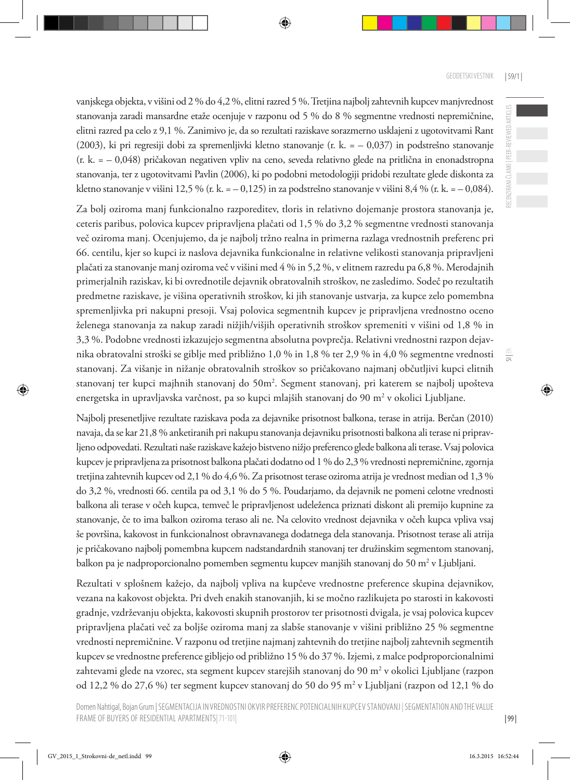vanjskega objekta, v višini od 2 % do 4,2 %, elitni razred 5 %. Tretjina najbolj zahtevnih kupcev manjvrednost stanovanja zaradi mansardne etaže ocenjuje v razponu od 5 % do 8 % segmentne vrednosti nepremičnine, elitni razred pa celo z 9,1 %. Zanimivo je, da so rezultati raziskave sorazmerno usklajeni z ugotovitvami Rant (2003), ki pri regresiji dobi za spremenljivki kletno stanovanje (r. k.  $=$   $-$  0,037) in podstrešno stanovanje (r. k. = – 0,048) pričakovan negativen vpliv na ceno, seveda relativno glede na pritlična in enonadstropna stanovanja, ter z ugotovitvami Pavlin (2006), ki po podobni metodologiji pridobi rezultate glede diskonta za kletno stanovanje v višini 12,5 % (r. k. =  $-0.125$ ) in za podstrešno stanovanje v višini 8,4 % (r. k. =  $-0.084$ ).

Za bolj oziroma manj funkcionalno razporeditev, tloris in relativno dojemanje prostora stanovanja je, ceteris paribus, polovica kupcev pripravljena plačati od 1,5 % do 3,2 % segmentne vrednosti stanovanja več oziroma manj. Ocenjujemo, da je najbolj tržno realna in primerna razlaga vrednostnih preferenc pri 66. centilu, kjer so kupci iz naslova dejavnika funkcionalne in relativne velikosti stanovanja pripravljeni plačati za stanovanje manj oziroma več v višini med 4 % in 5,2 %, v elitnem razredu pa 6,8 %. Merodajnih primerjalnih raziskav, ki bi ovrednotile dejavnik obratovalnih stroškov, ne zasledimo. Sodeč po rezultatih predmetne raziskave, je višina operativnih stroškov, ki jih stanovanje ustvarja, za kupce zelo pomembna spremenljivka pri nakupni presoji. Vsaj polovica segmentnih kupcev je pripravljena vrednostno oceno želenega stanovanja za nakup zaradi nižjih/višjih operativnih stroškov spremeniti v višini od 1,8 % in 3,3 %. Podobne vrednosti izkazujejo segmentna absolutna povprečja. Relativni vrednostni razpon dejavnika obratovalni stroški se giblje med približno 1,0 % in 1,8 % ter 2,9 % in 4,0 % segmentne vrednosti stanovanj. Za višanje in nižanje obratovalnih stroškov so pričakovano najmanj občutljivi kupci elitnih stanovanj ter kupci majhnih stanovanj do 50m². Segment stanovanj, pri katerem se najbolj upošteva energetska in upravljavska varčnost, pa so kupci mlajših stanovanj do 90 m² v okolici Ljubljane.

Najbolj presenetljive rezultate raziskava poda za dejavnike prisotnost balkona, terase in atrija. Berčan (2010) navaja, da se kar 21,8 % anketiranih pri nakupu stanovanja dejavniku prisotnosti balkona ali terase ni pripravljeno odpovedati. Rezultati naše raziskave kažejo bistveno nižjo preferenco glede balkona ali terase. Vsaj polovica kupcev je pripravljena za prisotnost balkona plačati dodatno od 1 % do 2,3 % vrednosti nepremičnine, zgornja tretjina zahtevnih kupcev od 2,1 % do 4,6 %. Za prisotnost terase oziroma atrija je vrednost median od 1,3 % do 3,2 %, vrednosti 66. centila pa od 3,1 % do 5 %. Poudarjamo, da dejavnik ne pomeni celotne vrednosti balkona ali terase v očeh kupca, temveč le pripravljenost udeleženca priznati diskont ali premijo kupnine za stanovanje, če to ima balkon oziroma teraso ali ne. Na celovito vrednost dejavnika v očeh kupca vpliva vsaj še površina, kakovost in funkcionalnost obravnavanega dodatnega dela stanovanja. Prisotnost terase ali atrija je pričakovano najbolj pomembna kupcem nadstandardnih stanovanj ter družinskim segmentom stanovanj, balkon pa je nadproporcionalno pomemben segmentu kupcev manjših stanovanj do 50 m² v Ljubljani.

Rezultati v splošnem kažejo, da najbolj vpliva na kupčeve vrednostne preference skupina dejavnikov, vezana na kakovost objekta. Pri dveh enakih stanovanjih, ki se močno razlikujeta po starosti in kakovosti gradnje, vzdrževanju objekta, kakovosti skupnih prostorov ter prisotnosti dvigala, je vsaj polovica kupcev pripravljena plačati več za boljše oziroma manj za slabše stanovanje v višini približno 25 % segmentne vrednosti nepremičnine. V razponu od tretjine najmanj zahtevnih do tretjine najbolj zahtevnih segmentih kupcev se vrednostne preference gibljejo od približno 15 % do 37 %. Izjemi, z malce podproporcionalnimi zahtevami glede na vzorec, sta segment kupcev starejših stanovanj do 90 m² v okolici Ljubljane (razpon od 12,2 % do 27,6 %) ter segment kupcev stanovanj do 50 do 95 m² v Ljubljani (razpon od 12,1 % do  $\equiv$ 

| 99 |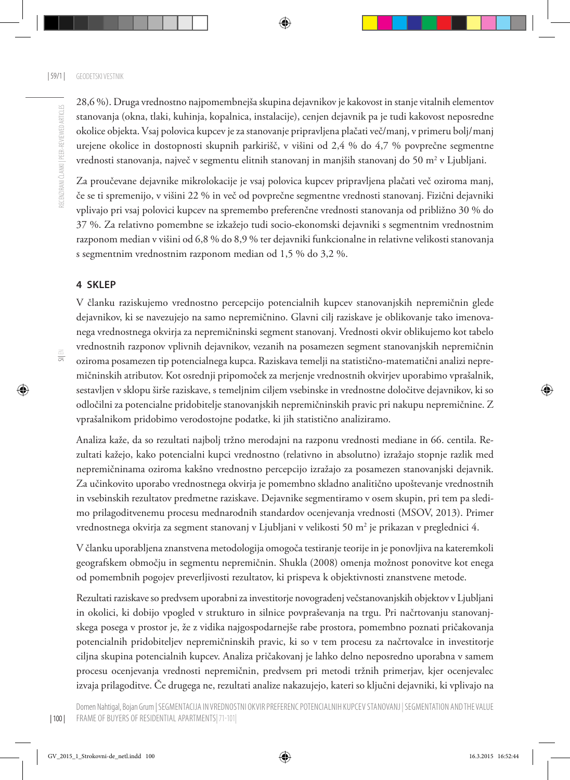SI| EN

28,6 %). Druga vrednostno najpomembnejša skupina dejavnikov je kakovost in stanje vitalnih elementov stanovanja (okna, tlaki, kuhinja, kopalnica, instalacije), cenjen dejavnik pa je tudi kakovost neposredne okolice objekta. Vsaj polovica kupcev je za stanovanje pripravljena plačati več/manj, v primeru bolj/manj urejene okolice in dostopnosti skupnih parkirišč, v višini od 2,4 % do 4,7 % povprečne segmentne vrednosti stanovanja, največ v segmentu elitnih stanovanj in manjših stanovanj do 50 m² v Ljubljani.

Za proučevane dejavnike mikrolokacije je vsaj polovica kupcev pripravljena plačati več oziroma manj, če se ti spremenijo, v višini 22 % in več od povprečne segmentne vrednosti stanovanj. Fizični dejavniki vplivajo pri vsaj polovici kupcev na spremembo preferenčne vrednosti stanovanja od približno 30 % do 37 %. Za relativno pomembne se izkažejo tudi socio-ekonomski dejavniki s segmentnim vrednostnim razponom median v višini od 6,8 % do 8,9 % ter dejavniki funkcionalne in relativne velikosti stanovanja s segmentnim vrednostnim razponom median od 1,5 % do 3,2 %.

#### **4 SKLEP**

V članku raziskujemo vrednostno percepcijo potencialnih kupcev stanovanjskih nepremičnin glede dejavnikov, ki se navezujejo na samo nepremičnino. Glavni cilj raziskave je oblikovanje tako imenovanega vrednostnega okvirja za nepremičninski segment stanovanj. Vrednosti okvir oblikujemo kot tabelo vrednostnih razponov vplivnih dejavnikov, vezanih na posamezen segment stanovanjskih nepremičnin oziroma posamezen tip potencialnega kupca. Raziskava temelji na statistično-matematični analizi nepremičninskih atributov. Kot osrednji pripomoček za merjenje vrednostnih okvirjev uporabimo vprašalnik, sestavljen v sklopu širše raziskave, s temeljnim ciljem vsebinske in vrednostne določitve dejavnikov, ki so odločilni za potencialne pridobitelje stanovanjskih nepremičninskih pravic pri nakupu nepremičnine. Z vprašalnikom pridobimo verodostojne podatke, ki jih statistično analiziramo.

Analiza kaže, da so rezultati najbolj tržno merodajni na razponu vrednosti mediane in 66. centila. Rezultati kažejo, kako potencialni kupci vrednostno (relativno in absolutno) izražajo stopnje razlik med nepremičninama oziroma kakšno vrednostno percepcijo izražajo za posamezen stanovanjski dejavnik. Za učinkovito uporabo vrednostnega okvirja je pomembno skladno analitično upoštevanje vrednostnih in vsebinskih rezultatov predmetne raziskave. Dejavnike segmentiramo v osem skupin, pri tem pa sledimo prilagoditvenemu procesu mednarodnih standardov ocenjevanja vrednosti (MSOV, 2013). Primer vrednostnega okvirja za segment stanovanj v Ljubljani v velikosti 50 m² je prikazan v preglednici 4.

V članku uporabljena znanstvena metodologija omogoča testiranje teorije in je ponovljiva na kateremkoli geografskem območju in segmentu nepremičnin. Shukla (2008) omenja možnost ponovitve kot enega od pomembnih pogojev preverljivosti rezultatov, ki prispeva k objektivnosti znanstvene metode.

Rezultati raziskave so predvsem uporabni za investitorje novogradenj večstanovanjskih objektov v Ljubljani in okolici, ki dobijo vpogled v strukturo in silnice povpraševanja na trgu. Pri načrtovanju stanovanjskega posega v prostor je, že z vidika najgospodarnejše rabe prostora, pomembno poznati pričakovanja potencialnih pridobiteljev nepremičninskih pravic, ki so v tem procesu za načrtovalce in investitorje ciljna skupina potencialnih kupcev. Analiza pričakovanj je lahko delno neposredno uporabna v samem procesu ocenjevanja vrednosti nepremičnin, predvsem pri metodi tržnih primerjav, kjer ocenjevalec izvaja prilagoditve. Če drugega ne, rezultati analize nakazujejo, kateri so ključni dejavniki, ki vplivajo na